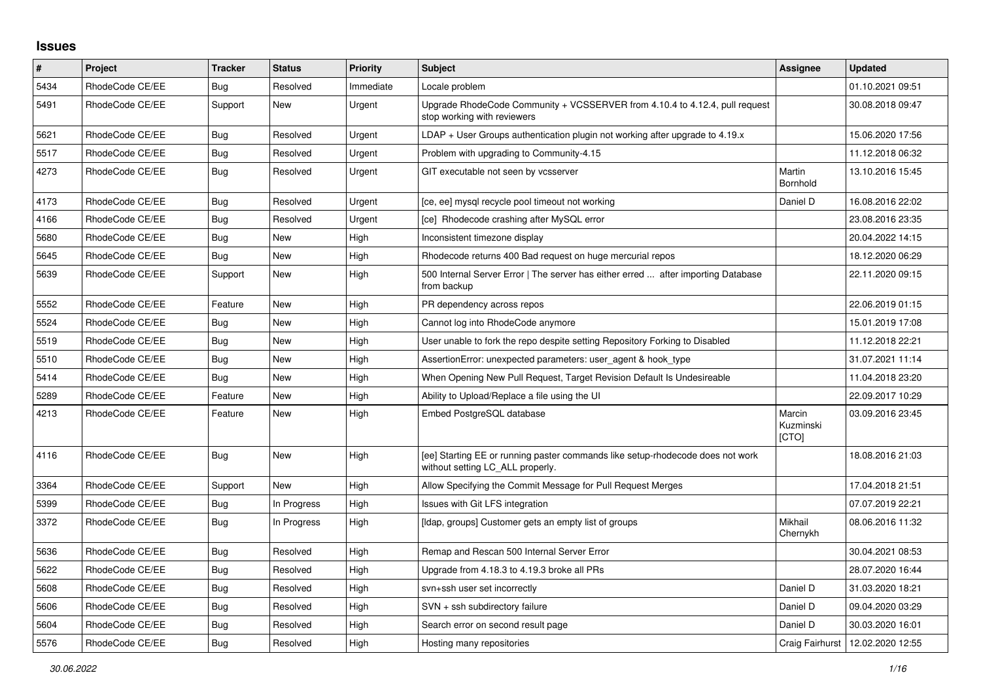## **Issues**

| #    | Project         | <b>Tracker</b> | <b>Status</b> | <b>Priority</b> | Subject                                                                                                            | Assignee                     | <b>Updated</b>                     |
|------|-----------------|----------------|---------------|-----------------|--------------------------------------------------------------------------------------------------------------------|------------------------------|------------------------------------|
| 5434 | RhodeCode CE/EE | Bug            | Resolved      | Immediate       | Locale problem                                                                                                     |                              | 01.10.2021 09:51                   |
| 5491 | RhodeCode CE/EE | Support        | <b>New</b>    | Urgent          | Upgrade RhodeCode Community + VCSSERVER from 4.10.4 to 4.12.4, pull request<br>stop working with reviewers         |                              | 30.08.2018 09:47                   |
| 5621 | RhodeCode CE/EE | Bug            | Resolved      | Urgent          | LDAP + User Groups authentication plugin not working after upgrade to 4.19.x                                       |                              | 15.06.2020 17:56                   |
| 5517 | RhodeCode CE/EE | Bug            | Resolved      | Urgent          | Problem with upgrading to Community-4.15                                                                           |                              | 11.12.2018 06:32                   |
| 4273 | RhodeCode CE/EE | Bug            | Resolved      | Urgent          | GIT executable not seen by vcsserver                                                                               | Martin<br>Bornhold           | 13.10.2016 15:45                   |
| 4173 | RhodeCode CE/EE | Bug            | Resolved      | Urgent          | [ce, ee] mysql recycle pool timeout not working                                                                    | Daniel D                     | 16.08.2016 22:02                   |
| 4166 | RhodeCode CE/EE | Bug            | Resolved      | Urgent          | [ce] Rhodecode crashing after MySQL error                                                                          |                              | 23.08.2016 23:35                   |
| 5680 | RhodeCode CE/EE | Bug            | <b>New</b>    | High            | Inconsistent timezone display                                                                                      |                              | 20.04.2022 14:15                   |
| 5645 | RhodeCode CE/EE | Bug            | <b>New</b>    | High            | Rhodecode returns 400 Bad request on huge mercurial repos                                                          |                              | 18.12.2020 06:29                   |
| 5639 | RhodeCode CE/EE | Support        | New           | High            | 500 Internal Server Error   The server has either erred  after importing Database<br>from backup                   |                              | 22.11.2020 09:15                   |
| 5552 | RhodeCode CE/EE | Feature        | <b>New</b>    | High            | PR dependency across repos                                                                                         |                              | 22.06.2019 01:15                   |
| 5524 | RhodeCode CE/EE | Bug            | <b>New</b>    | High            | Cannot log into RhodeCode anymore                                                                                  |                              | 15.01.2019 17:08                   |
| 5519 | RhodeCode CE/EE | Bug            | <b>New</b>    | High            | User unable to fork the repo despite setting Repository Forking to Disabled                                        |                              | 11.12.2018 22:21                   |
| 5510 | RhodeCode CE/EE | Bug            | New           | High            | AssertionError: unexpected parameters: user agent & hook type                                                      |                              | 31.07.2021 11:14                   |
| 5414 | RhodeCode CE/EE | Bug            | <b>New</b>    | High            | When Opening New Pull Request, Target Revision Default Is Undesireable                                             |                              | 11.04.2018 23:20                   |
| 5289 | RhodeCode CE/EE | Feature        | <b>New</b>    | High            | Ability to Upload/Replace a file using the UI                                                                      |                              | 22.09.2017 10:29                   |
| 4213 | RhodeCode CE/EE | Feature        | <b>New</b>    | High            | Embed PostgreSQL database                                                                                          | Marcin<br>Kuzminski<br>[CTO] | 03.09.2016 23:45                   |
| 4116 | RhodeCode CE/EE | Bug            | <b>New</b>    | High            | [ee] Starting EE or running paster commands like setup-rhodecode does not work<br>without setting LC_ALL properly. |                              | 18.08.2016 21:03                   |
| 3364 | RhodeCode CE/EE | Support        | <b>New</b>    | High            | Allow Specifying the Commit Message for Pull Request Merges                                                        |                              | 17.04.2018 21:51                   |
| 5399 | RhodeCode CE/EE | <b>Bug</b>     | In Progress   | High            | Issues with Git LFS integration                                                                                    |                              | 07.07.2019 22:21                   |
| 3372 | RhodeCode CE/EE | Bug            | In Progress   | High            | [Idap, groups] Customer gets an empty list of groups                                                               | Mikhail<br>Chernykh          | 08.06.2016 11:32                   |
| 5636 | RhodeCode CE/EE | Bug            | Resolved      | High            | Remap and Rescan 500 Internal Server Error                                                                         |                              | 30.04.2021 08:53                   |
| 5622 | RhodeCode CE/EE | Bug            | Resolved      | High            | Upgrade from 4.18.3 to 4.19.3 broke all PRs                                                                        |                              | 28.07.2020 16:44                   |
| 5608 | RhodeCode CE/EE | Bug            | Resolved      | High            | svn+ssh user set incorrectly                                                                                       | Daniel D                     | 31.03.2020 18:21                   |
| 5606 | RhodeCode CE/EE | Bug            | Resolved      | High            | SVN + ssh subdirectory failure                                                                                     | Daniel D                     | 09.04.2020 03:29                   |
| 5604 | RhodeCode CE/EE | <b>Bug</b>     | Resolved      | High            | Search error on second result page                                                                                 | Daniel D                     | 30.03.2020 16:01                   |
| 5576 | RhodeCode CE/EE | Bug            | Resolved      | High            | Hosting many repositories                                                                                          |                              | Craig Fairhurst   12.02.2020 12:55 |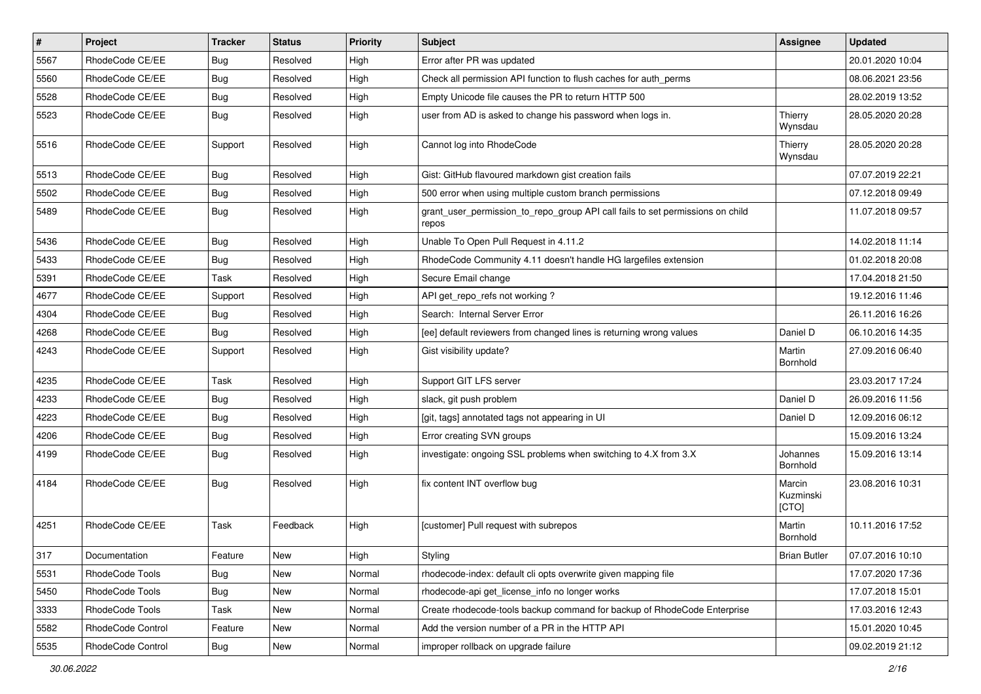| $\pmb{\#}$ | Project           | <b>Tracker</b> | <b>Status</b> | <b>Priority</b> | <b>Subject</b>                                                                          | <b>Assignee</b>              | <b>Updated</b>   |
|------------|-------------------|----------------|---------------|-----------------|-----------------------------------------------------------------------------------------|------------------------------|------------------|
| 5567       | RhodeCode CE/EE   | <b>Bug</b>     | Resolved      | High            | Error after PR was updated                                                              |                              | 20.01.2020 10:04 |
| 5560       | RhodeCode CE/EE   | Bug            | Resolved      | High            | Check all permission API function to flush caches for auth perms                        |                              | 08.06.2021 23:56 |
| 5528       | RhodeCode CE/EE   | Bug            | Resolved      | High            | Empty Unicode file causes the PR to return HTTP 500                                     |                              | 28.02.2019 13:52 |
| 5523       | RhodeCode CE/EE   | <b>Bug</b>     | Resolved      | High            | user from AD is asked to change his password when logs in.                              | Thierry<br>Wynsdau           | 28.05.2020 20:28 |
| 5516       | RhodeCode CE/EE   | Support        | Resolved      | High            | Cannot log into RhodeCode                                                               | Thierry<br>Wynsdau           | 28.05.2020 20:28 |
| 5513       | RhodeCode CE/EE   | Bug            | Resolved      | High            | Gist: GitHub flavoured markdown gist creation fails                                     |                              | 07.07.2019 22:21 |
| 5502       | RhodeCode CE/EE   | Bug            | Resolved      | High            | 500 error when using multiple custom branch permissions                                 |                              | 07.12.2018 09:49 |
| 5489       | RhodeCode CE/EE   | Bug            | Resolved      | High            | grant_user_permission_to_repo_group API call fails to set permissions on child<br>repos |                              | 11.07.2018 09:57 |
| 5436       | RhodeCode CE/EE   | Bug            | Resolved      | High            | Unable To Open Pull Request in 4.11.2                                                   |                              | 14.02.2018 11:14 |
| 5433       | RhodeCode CE/EE   | Bug            | Resolved      | High            | RhodeCode Community 4.11 doesn't handle HG largefiles extension                         |                              | 01.02.2018 20:08 |
| 5391       | RhodeCode CE/EE   | Task           | Resolved      | High            | Secure Email change                                                                     |                              | 17.04.2018 21:50 |
| 4677       | RhodeCode CE/EE   | Support        | Resolved      | High            | API get_repo_refs not working?                                                          |                              | 19.12.2016 11:46 |
| 4304       | RhodeCode CE/EE   | Bug            | Resolved      | High            | Search: Internal Server Error                                                           |                              | 26.11.2016 16:26 |
| 4268       | RhodeCode CE/EE   | Bug            | Resolved      | High            | [ee] default reviewers from changed lines is returning wrong values                     | Daniel D                     | 06.10.2016 14:35 |
| 4243       | RhodeCode CE/EE   | Support        | Resolved      | High            | Gist visibility update?                                                                 | Martin<br>Bornhold           | 27.09.2016 06:40 |
| 4235       | RhodeCode CE/EE   | Task           | Resolved      | High            | Support GIT LFS server                                                                  |                              | 23.03.2017 17:24 |
| 4233       | RhodeCode CE/EE   | Bug            | Resolved      | High            | slack, git push problem                                                                 | Daniel D                     | 26.09.2016 11:56 |
| 4223       | RhodeCode CE/EE   | Bug            | Resolved      | High            | [git, tags] annotated tags not appearing in UI                                          | Daniel D                     | 12.09.2016 06:12 |
| 4206       | RhodeCode CE/EE   | Bug            | Resolved      | High            | Error creating SVN groups                                                               |                              | 15.09.2016 13:24 |
| 4199       | RhodeCode CE/EE   | Bug            | Resolved      | High            | investigate: ongoing SSL problems when switching to 4.X from 3.X                        | Johannes<br>Bornhold         | 15.09.2016 13:14 |
| 4184       | RhodeCode CE/EE   | Bug            | Resolved      | High            | fix content INT overflow bug                                                            | Marcin<br>Kuzminski<br>[CTO] | 23.08.2016 10:31 |
| 4251       | RhodeCode CE/EE   | Task           | Feedback      | High            | [customer] Pull request with subrepos                                                   | Martin<br>Bornhold           | 10.11.2016 17:52 |
| 317        | Documentation     | Feature        | New           | High            | Styling                                                                                 | <b>Brian Butler</b>          | 07.07.2016 10:10 |
| 5531       | RhodeCode Tools   | Bug            | <b>New</b>    | Normal          | rhodecode-index: default cli opts overwrite given mapping file                          |                              | 17.07.2020 17:36 |
| 5450       | RhodeCode Tools   | Bug            | New           | Normal          | rhodecode-api get license info no longer works                                          |                              | 17.07.2018 15:01 |
| 3333       | RhodeCode Tools   | Task           | New           | Normal          | Create rhodecode-tools backup command for backup of RhodeCode Enterprise                |                              | 17.03.2016 12:43 |
| 5582       | RhodeCode Control | Feature        | New           | Normal          | Add the version number of a PR in the HTTP API                                          |                              | 15.01.2020 10:45 |
| 5535       | RhodeCode Control | Bug            | New           | Normal          | improper rollback on upgrade failure                                                    |                              | 09.02.2019 21:12 |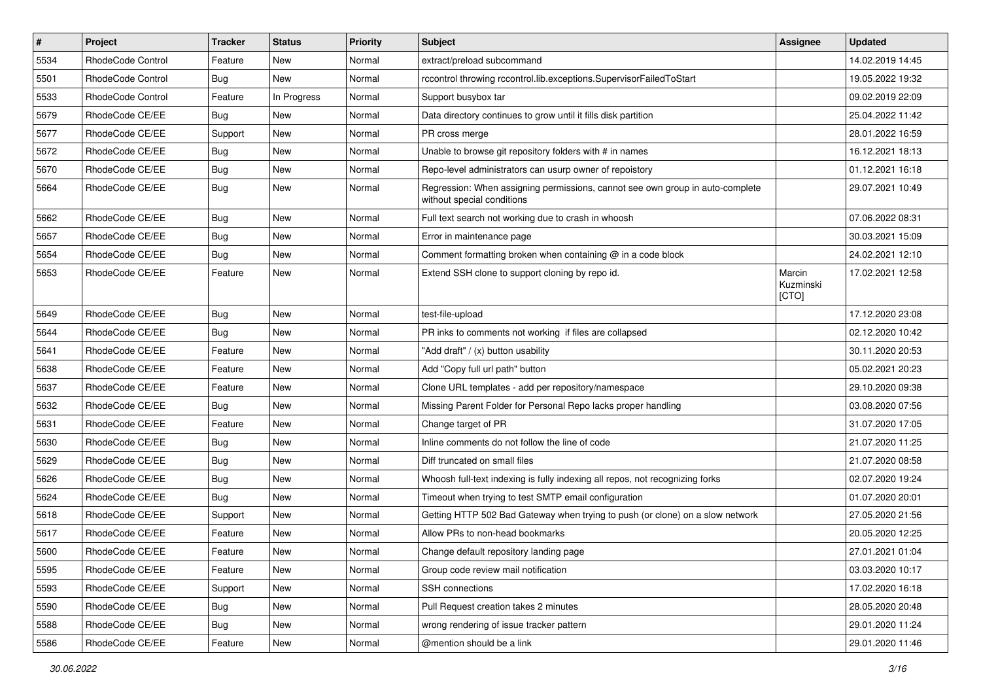| $\vert$ # | Project           | Tracker    | <b>Status</b> | <b>Priority</b> | <b>Subject</b>                                                                                              | Assignee                     | <b>Updated</b>   |
|-----------|-------------------|------------|---------------|-----------------|-------------------------------------------------------------------------------------------------------------|------------------------------|------------------|
| 5534      | RhodeCode Control | Feature    | New           | Normal          | extract/preload subcommand                                                                                  |                              | 14.02.2019 14:45 |
| 5501      | RhodeCode Control | <b>Bug</b> | <b>New</b>    | Normal          | rccontrol throwing rccontrol.lib.exceptions.SupervisorFailedToStart                                         |                              | 19.05.2022 19:32 |
| 5533      | RhodeCode Control | Feature    | In Progress   | Normal          | Support busybox tar                                                                                         |                              | 09.02.2019 22:09 |
| 5679      | RhodeCode CE/EE   | Bug        | New           | Normal          | Data directory continues to grow until it fills disk partition                                              |                              | 25.04.2022 11:42 |
| 5677      | RhodeCode CE/EE   | Support    | New           | Normal          | PR cross merge                                                                                              |                              | 28.01.2022 16:59 |
| 5672      | RhodeCode CE/EE   | <b>Bug</b> | New           | Normal          | Unable to browse git repository folders with # in names                                                     |                              | 16.12.2021 18:13 |
| 5670      | RhodeCode CE/EE   | <b>Bug</b> | New           | Normal          | Repo-level administrators can usurp owner of repoistory                                                     |                              | 01.12.2021 16:18 |
| 5664      | RhodeCode CE/EE   | <b>Bug</b> | New           | Normal          | Regression: When assigning permissions, cannot see own group in auto-complete<br>without special conditions |                              | 29.07.2021 10:49 |
| 5662      | RhodeCode CE/EE   | Bug        | New           | Normal          | Full text search not working due to crash in whoosh                                                         |                              | 07.06.2022 08:31 |
| 5657      | RhodeCode CE/EE   | <b>Bug</b> | New           | Normal          | Error in maintenance page                                                                                   |                              | 30.03.2021 15:09 |
| 5654      | RhodeCode CE/EE   | <b>Bug</b> | New           | Normal          | Comment formatting broken when containing @ in a code block                                                 |                              | 24.02.2021 12:10 |
| 5653      | RhodeCode CE/EE   | Feature    | New           | Normal          | Extend SSH clone to support cloning by repo id.                                                             | Marcin<br>Kuzminski<br>[CTO] | 17.02.2021 12:58 |
| 5649      | RhodeCode CE/EE   | Bug        | New           | Normal          | test-file-upload                                                                                            |                              | 17.12.2020 23:08 |
| 5644      | RhodeCode CE/EE   | <b>Bug</b> | New           | Normal          | PR inks to comments not working if files are collapsed                                                      |                              | 02.12.2020 10:42 |
| 5641      | RhodeCode CE/EE   | Feature    | New           | Normal          | "Add draft" / (x) button usability                                                                          |                              | 30.11.2020 20:53 |
| 5638      | RhodeCode CE/EE   | Feature    | New           | Normal          | Add "Copy full url path" button                                                                             |                              | 05.02.2021 20:23 |
| 5637      | RhodeCode CE/EE   | Feature    | New           | Normal          | Clone URL templates - add per repository/namespace                                                          |                              | 29.10.2020 09:38 |
| 5632      | RhodeCode CE/EE   | <b>Bug</b> | New           | Normal          | Missing Parent Folder for Personal Repo lacks proper handling                                               |                              | 03.08.2020 07:56 |
| 5631      | RhodeCode CE/EE   | Feature    | New           | Normal          | Change target of PR                                                                                         |                              | 31.07.2020 17:05 |
| 5630      | RhodeCode CE/EE   | <b>Bug</b> | New           | Normal          | Inline comments do not follow the line of code                                                              |                              | 21.07.2020 11:25 |
| 5629      | RhodeCode CE/EE   | Bug        | New           | Normal          | Diff truncated on small files                                                                               |                              | 21.07.2020 08:58 |
| 5626      | RhodeCode CE/EE   | <b>Bug</b> | New           | Normal          | Whoosh full-text indexing is fully indexing all repos, not recognizing forks                                |                              | 02.07.2020 19:24 |
| 5624      | RhodeCode CE/EE   | <b>Bug</b> | New           | Normal          | Timeout when trying to test SMTP email configuration                                                        |                              | 01.07.2020 20:01 |
| 5618      | RhodeCode CE/EE   | Support    | New           | Normal          | Getting HTTP 502 Bad Gateway when trying to push (or clone) on a slow network                               |                              | 27.05.2020 21:56 |
| 5617      | RhodeCode CE/EE   | Feature    | New           | Normal          | Allow PRs to non-head bookmarks                                                                             |                              | 20.05.2020 12:25 |
| 5600      | RhodeCode CE/EE   | Feature    | New           | Normal          | Change default repository landing page                                                                      |                              | 27.01.2021 01:04 |
| 5595      | RhodeCode CE/EE   | Feature    | New           | Normal          | Group code review mail notification                                                                         |                              | 03.03.2020 10:17 |
| 5593      | RhodeCode CE/EE   | Support    | New           | Normal          | SSH connections                                                                                             |                              | 17.02.2020 16:18 |
| 5590      | RhodeCode CE/EE   | Bug        | New           | Normal          | Pull Request creation takes 2 minutes                                                                       |                              | 28.05.2020 20:48 |
| 5588      | RhodeCode CE/EE   | Bug        | New           | Normal          | wrong rendering of issue tracker pattern                                                                    |                              | 29.01.2020 11:24 |
| 5586      | RhodeCode CE/EE   | Feature    | New           | Normal          | @mention should be a link                                                                                   |                              | 29.01.2020 11:46 |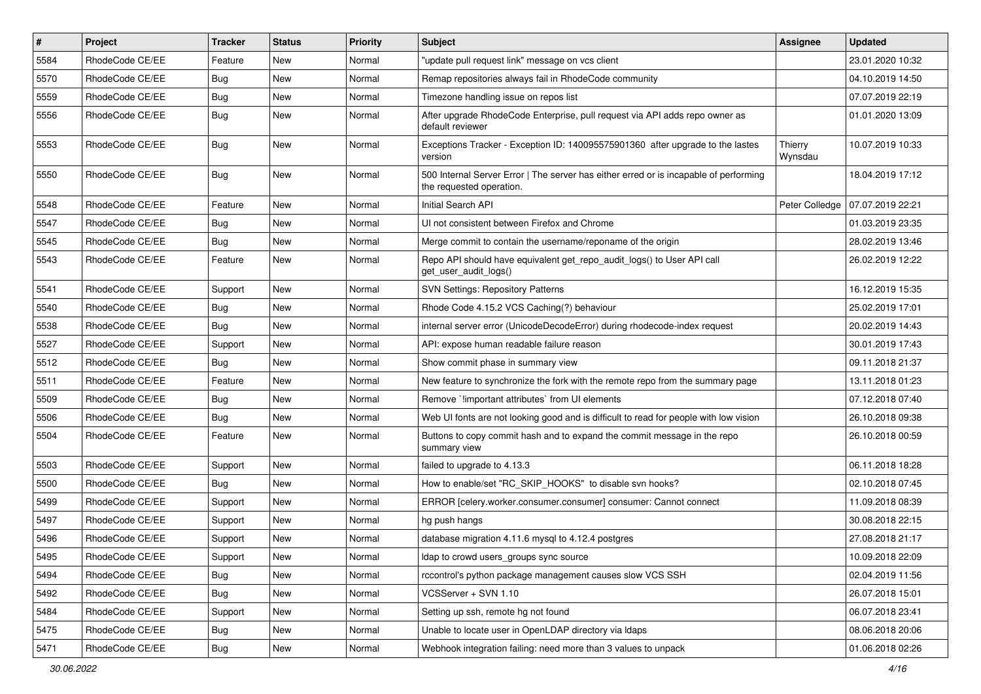| $\sharp$ | Project         | <b>Tracker</b> | <b>Status</b> | Priority | <b>Subject</b>                                                                                                    | <b>Assignee</b>    | <b>Updated</b>   |
|----------|-----------------|----------------|---------------|----------|-------------------------------------------------------------------------------------------------------------------|--------------------|------------------|
| 5584     | RhodeCode CE/EE | Feature        | New           | Normal   | "update pull request link" message on vcs client                                                                  |                    | 23.01.2020 10:32 |
| 5570     | RhodeCode CE/EE | Bug            | <b>New</b>    | Normal   | Remap repositories always fail in RhodeCode community                                                             |                    | 04.10.2019 14:50 |
| 5559     | RhodeCode CE/EE | Bug            | New           | Normal   | Timezone handling issue on repos list                                                                             |                    | 07.07.2019 22:19 |
| 5556     | RhodeCode CE/EE | Bug            | New           | Normal   | After upgrade RhodeCode Enterprise, pull request via API adds repo owner as<br>default reviewer                   |                    | 01.01.2020 13:09 |
| 5553     | RhodeCode CE/EE | Bug            | <b>New</b>    | Normal   | Exceptions Tracker - Exception ID: 140095575901360 after upgrade to the lastes<br>version                         | Thierry<br>Wynsdau | 10.07.2019 10:33 |
| 5550     | RhodeCode CE/EE | Bug            | <b>New</b>    | Normal   | 500 Internal Server Error   The server has either erred or is incapable of performing<br>the requested operation. |                    | 18.04.2019 17:12 |
| 5548     | RhodeCode CE/EE | Feature        | <b>New</b>    | Normal   | Initial Search API                                                                                                | Peter Colledge     | 07.07.2019 22:21 |
| 5547     | RhodeCode CE/EE | Bug            | New           | Normal   | UI not consistent between Firefox and Chrome                                                                      |                    | 01.03.2019 23:35 |
| 5545     | RhodeCode CE/EE | <b>Bug</b>     | New           | Normal   | Merge commit to contain the username/reponame of the origin                                                       |                    | 28.02.2019 13:46 |
| 5543     | RhodeCode CE/EE | Feature        | New           | Normal   | Repo API should have equivalent get_repo_audit_logs() to User API call<br>get user audit logs()                   |                    | 26.02.2019 12:22 |
| 5541     | RhodeCode CE/EE | Support        | <b>New</b>    | Normal   | <b>SVN Settings: Repository Patterns</b>                                                                          |                    | 16.12.2019 15:35 |
| 5540     | RhodeCode CE/EE | Bug            | <b>New</b>    | Normal   | Rhode Code 4.15.2 VCS Caching(?) behaviour                                                                        |                    | 25.02.2019 17:01 |
| 5538     | RhodeCode CE/EE | <b>Bug</b>     | New           | Normal   | internal server error (UnicodeDecodeError) during rhodecode-index request                                         |                    | 20.02.2019 14:43 |
| 5527     | RhodeCode CE/EE | Support        | New           | Normal   | API: expose human readable failure reason                                                                         |                    | 30.01.2019 17:43 |
| 5512     | RhodeCode CE/EE | Bug            | New           | Normal   | Show commit phase in summary view                                                                                 |                    | 09.11.2018 21:37 |
| 5511     | RhodeCode CE/EE | Feature        | New           | Normal   | New feature to synchronize the fork with the remote repo from the summary page                                    |                    | 13.11.2018 01:23 |
| 5509     | RhodeCode CE/EE | Bug            | <b>New</b>    | Normal   | Remove `limportant attributes` from UI elements                                                                   |                    | 07.12.2018 07:40 |
| 5506     | RhodeCode CE/EE | Bug            | New           | Normal   | Web UI fonts are not looking good and is difficult to read for people with low vision                             |                    | 26.10.2018 09:38 |
| 5504     | RhodeCode CE/EE | Feature        | New           | Normal   | Buttons to copy commit hash and to expand the commit message in the repo<br>summary view                          |                    | 26.10.2018 00:59 |
| 5503     | RhodeCode CE/EE | Support        | <b>New</b>    | Normal   | failed to upgrade to 4.13.3                                                                                       |                    | 06.11.2018 18:28 |
| 5500     | RhodeCode CE/EE | Bug            | New           | Normal   | How to enable/set "RC_SKIP_HOOKS" to disable svn hooks?                                                           |                    | 02.10.2018 07:45 |
| 5499     | RhodeCode CE/EE | Support        | New           | Normal   | ERROR [celery.worker.consumer.consumer] consumer: Cannot connect                                                  |                    | 11.09.2018 08:39 |
| 5497     | RhodeCode CE/EE | Support        | New           | Normal   | hg push hangs                                                                                                     |                    | 30.08.2018 22:15 |
| 5496     | RhodeCode CE/EE | Support        | <b>New</b>    | Normal   | database migration 4.11.6 mysql to 4.12.4 postgres                                                                |                    | 27.08.2018 21:17 |
| 5495     | RhodeCode CE/EE | Support        | New           | Normal   | Idap to crowd users groups sync source                                                                            |                    | 10.09.2018 22:09 |
| 5494     | RhodeCode CE/EE | Bug            | <b>New</b>    | Normal   | rccontrol's python package management causes slow VCS SSH                                                         |                    | 02.04.2019 11:56 |
| 5492     | RhodeCode CE/EE | Bug            | New           | Normal   | VCSServer + SVN 1.10                                                                                              |                    | 26.07.2018 15:01 |
| 5484     | RhodeCode CE/EE | Support        | New           | Normal   | Setting up ssh, remote hg not found                                                                               |                    | 06.07.2018 23:41 |
| 5475     | RhodeCode CE/EE | <b>Bug</b>     | New           | Normal   | Unable to locate user in OpenLDAP directory via Idaps                                                             |                    | 08.06.2018 20:06 |
| 5471     | RhodeCode CE/EE | <b>Bug</b>     | New           | Normal   | Webhook integration failing: need more than 3 values to unpack                                                    |                    | 01.06.2018 02:26 |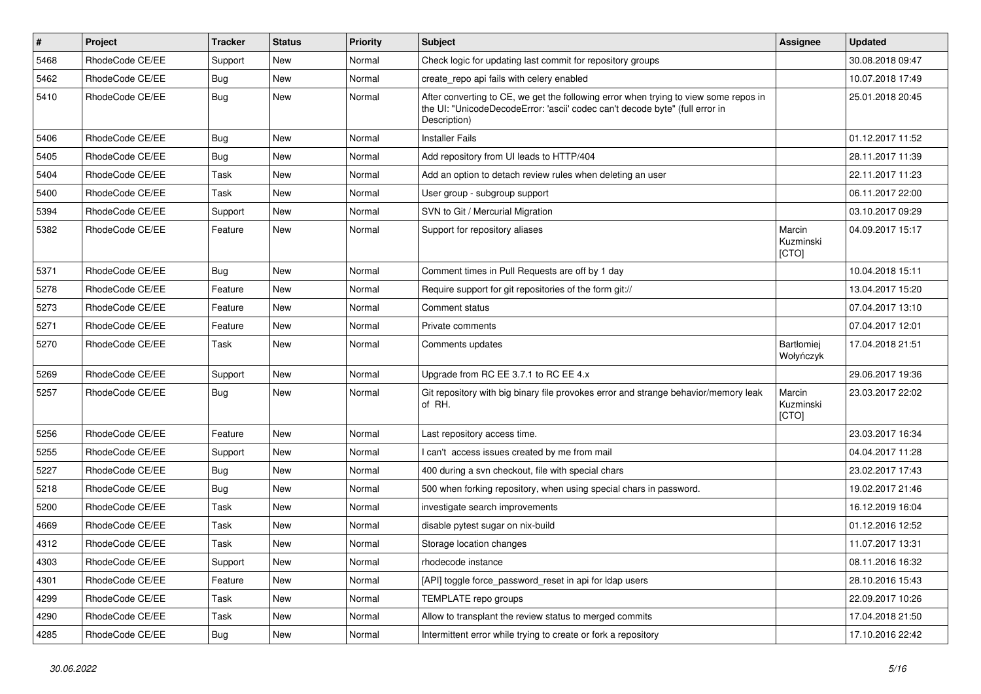| #    | Project         | <b>Tracker</b> | <b>Status</b> | <b>Priority</b> | Subject                                                                                                                                                                              | <b>Assignee</b>              | <b>Updated</b>   |
|------|-----------------|----------------|---------------|-----------------|--------------------------------------------------------------------------------------------------------------------------------------------------------------------------------------|------------------------------|------------------|
| 5468 | RhodeCode CE/EE | Support        | New           | Normal          | Check logic for updating last commit for repository groups                                                                                                                           |                              | 30.08.2018 09:47 |
| 5462 | RhodeCode CE/EE | Bug            | <b>New</b>    | Normal          | create_repo api fails with celery enabled                                                                                                                                            |                              | 10.07.2018 17:49 |
| 5410 | RhodeCode CE/EE | Bug            | New           | Normal          | After converting to CE, we get the following error when trying to view some repos in<br>the UI: "UnicodeDecodeError: 'ascii' codec can't decode byte" (full error in<br>Description) |                              | 25.01.2018 20:45 |
| 5406 | RhodeCode CE/EE | Bug            | <b>New</b>    | Normal          | <b>Installer Fails</b>                                                                                                                                                               |                              | 01.12.2017 11:52 |
| 5405 | RhodeCode CE/EE | Bug            | New           | Normal          | Add repository from UI leads to HTTP/404                                                                                                                                             |                              | 28.11.2017 11:39 |
| 5404 | RhodeCode CE/EE | Task           | <b>New</b>    | Normal          | Add an option to detach review rules when deleting an user                                                                                                                           |                              | 22.11.2017 11:23 |
| 5400 | RhodeCode CE/EE | Task           | <b>New</b>    | Normal          | User group - subgroup support                                                                                                                                                        |                              | 06.11.2017 22:00 |
| 5394 | RhodeCode CE/EE | Support        | <b>New</b>    | Normal          | SVN to Git / Mercurial Migration                                                                                                                                                     |                              | 03.10.2017 09:29 |
| 5382 | RhodeCode CE/EE | Feature        | New           | Normal          | Support for repository aliases                                                                                                                                                       | Marcin<br>Kuzminski<br>[CTO] | 04.09.2017 15:17 |
| 5371 | RhodeCode CE/EE | <b>Bug</b>     | New           | Normal          | Comment times in Pull Requests are off by 1 day                                                                                                                                      |                              | 10.04.2018 15:11 |
| 5278 | RhodeCode CE/EE | Feature        | <b>New</b>    | Normal          | Require support for git repositories of the form git://                                                                                                                              |                              | 13.04.2017 15:20 |
| 5273 | RhodeCode CE/EE | Feature        | <b>New</b>    | Normal          | Comment status                                                                                                                                                                       |                              | 07.04.2017 13:10 |
| 5271 | RhodeCode CE/EE | Feature        | New           | Normal          | Private comments                                                                                                                                                                     |                              | 07.04.2017 12:01 |
| 5270 | RhodeCode CE/EE | Task           | New           | Normal          | Comments updates                                                                                                                                                                     | Bartłomiej<br>Wołyńczyk      | 17.04.2018 21:51 |
| 5269 | RhodeCode CE/EE | Support        | <b>New</b>    | Normal          | Upgrade from RC EE 3.7.1 to RC EE 4.x                                                                                                                                                |                              | 29.06.2017 19:36 |
| 5257 | RhodeCode CE/EE | Bug            | <b>New</b>    | Normal          | Git repository with big binary file provokes error and strange behavior/memory leak<br>of RH.                                                                                        | Marcin<br>Kuzminski<br>[CTO] | 23.03.2017 22:02 |
| 5256 | RhodeCode CE/EE | Feature        | <b>New</b>    | Normal          | Last repository access time.                                                                                                                                                         |                              | 23.03.2017 16:34 |
| 5255 | RhodeCode CE/EE | Support        | New           | Normal          | I can't access issues created by me from mail                                                                                                                                        |                              | 04.04.2017 11:28 |
| 5227 | RhodeCode CE/EE | Bug            | New           | Normal          | 400 during a svn checkout, file with special chars                                                                                                                                   |                              | 23.02.2017 17:43 |
| 5218 | RhodeCode CE/EE | Bug            | New           | Normal          | 500 when forking repository, when using special chars in password.                                                                                                                   |                              | 19.02.2017 21:46 |
| 5200 | RhodeCode CE/EE | Task           | New           | Normal          | investigate search improvements                                                                                                                                                      |                              | 16.12.2019 16:04 |
| 4669 | RhodeCode CE/EE | Task           | <b>New</b>    | Normal          | disable pytest sugar on nix-build                                                                                                                                                    |                              | 01.12.2016 12:52 |
| 4312 | RhodeCode CE/EE | Task           | New           | Normal          | Storage location changes                                                                                                                                                             |                              | 11.07.2017 13:31 |
| 4303 | RhodeCode CE/EE | Support        | New           | Normal          | rhodecode instance                                                                                                                                                                   |                              | 08.11.2016 16:32 |
| 4301 | RhodeCode CE/EE | Feature        | <b>New</b>    | Normal          | [API] toggle force_password_reset in api for Idap users                                                                                                                              |                              | 28.10.2016 15:43 |
| 4299 | RhodeCode CE/EE | Task           | New           | Normal          | TEMPLATE repo groups                                                                                                                                                                 |                              | 22.09.2017 10:26 |
| 4290 | RhodeCode CE/EE | Task           | New           | Normal          | Allow to transplant the review status to merged commits                                                                                                                              |                              | 17.04.2018 21:50 |
| 4285 | RhodeCode CE/EE | Bug            | New           | Normal          | Intermittent error while trying to create or fork a repository                                                                                                                       |                              | 17.10.2016 22:42 |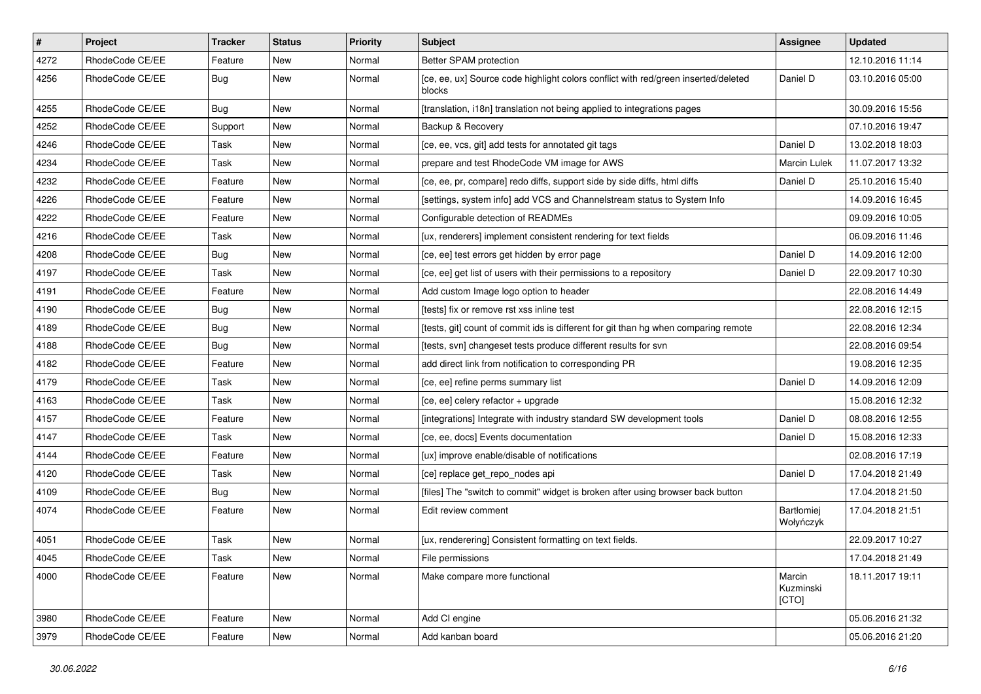| $\pmb{\#}$ | Project         | <b>Tracker</b> | <b>Status</b> | <b>Priority</b> | <b>Subject</b>                                                                               | <b>Assignee</b>              | <b>Updated</b>   |
|------------|-----------------|----------------|---------------|-----------------|----------------------------------------------------------------------------------------------|------------------------------|------------------|
| 4272       | RhodeCode CE/EE | Feature        | New           | Normal          | Better SPAM protection                                                                       |                              | 12.10.2016 11:14 |
| 4256       | RhodeCode CE/EE | Bug            | New           | Normal          | [ce, ee, ux] Source code highlight colors conflict with red/green inserted/deleted<br>blocks | Daniel D                     | 03.10.2016 05:00 |
| 4255       | RhodeCode CE/EE | Bug            | New           | Normal          | [translation, i18n] translation not being applied to integrations pages                      |                              | 30.09.2016 15:56 |
| 4252       | RhodeCode CE/EE | Support        | <b>New</b>    | Normal          | Backup & Recovery                                                                            |                              | 07.10.2016 19:47 |
| 4246       | RhodeCode CE/EE | Task           | New           | Normal          | [ce, ee, vcs, git] add tests for annotated git tags                                          | Daniel D                     | 13.02.2018 18:03 |
| 4234       | RhodeCode CE/EE | Task           | New           | Normal          | prepare and test RhodeCode VM image for AWS                                                  | <b>Marcin Lulek</b>          | 11.07.2017 13:32 |
| 4232       | RhodeCode CE/EE | Feature        | New           | Normal          | [ce, ee, pr, compare] redo diffs, support side by side diffs, html diffs                     | Daniel D                     | 25.10.2016 15:40 |
| 4226       | RhodeCode CE/EE | Feature        | New           | Normal          | [settings, system info] add VCS and Channelstream status to System Info                      |                              | 14.09.2016 16:45 |
| 4222       | RhodeCode CE/EE | Feature        | <b>New</b>    | Normal          | Configurable detection of READMEs                                                            |                              | 09.09.2016 10:05 |
| 4216       | RhodeCode CE/EE | Task           | New           | Normal          | [ux, renderers] implement consistent rendering for text fields                               |                              | 06.09.2016 11:46 |
| 4208       | RhodeCode CE/EE | Bug            | New           | Normal          | [ce, ee] test errors get hidden by error page                                                | Daniel D                     | 14.09.2016 12:00 |
| 4197       | RhodeCode CE/EE | Task           | New           | Normal          | [ce, ee] get list of users with their permissions to a repository                            | Daniel D                     | 22.09.2017 10:30 |
| 4191       | RhodeCode CE/EE | Feature        | New           | Normal          | Add custom Image logo option to header                                                       |                              | 22.08.2016 14:49 |
| 4190       | RhodeCode CE/EE | Bug            | <b>New</b>    | Normal          | [tests] fix or remove rst xss inline test                                                    |                              | 22.08.2016 12:15 |
| 4189       | RhodeCode CE/EE | Bug            | New           | Normal          | [tests, git] count of commit ids is different for git than hg when comparing remote          |                              | 22.08.2016 12:34 |
| 4188       | RhodeCode CE/EE | Bug            | New           | Normal          | [tests, svn] changeset tests produce different results for svn                               |                              | 22.08.2016 09:54 |
| 4182       | RhodeCode CE/EE | Feature        | New           | Normal          | add direct link from notification to corresponding PR                                        |                              | 19.08.2016 12:35 |
| 4179       | RhodeCode CE/EE | Task           | New           | Normal          | [ce, ee] refine perms summary list                                                           | Daniel D                     | 14.09.2016 12:09 |
| 4163       | RhodeCode CE/EE | Task           | New           | Normal          | [ce, ee] celery refactor + upgrade                                                           |                              | 15.08.2016 12:32 |
| 4157       | RhodeCode CE/EE | Feature        | New           | Normal          | [integrations] Integrate with industry standard SW development tools                         | Daniel D                     | 08.08.2016 12:55 |
| 4147       | RhodeCode CE/EE | Task           | New           | Normal          | [ce, ee, docs] Events documentation                                                          | Daniel D                     | 15.08.2016 12:33 |
| 4144       | RhodeCode CE/EE | Feature        | <b>New</b>    | Normal          | [ux] improve enable/disable of notifications                                                 |                              | 02.08.2016 17:19 |
| 4120       | RhodeCode CE/EE | Task           | New           | Normal          | [ce] replace get_repo_nodes api                                                              | Daniel D                     | 17.04.2018 21:49 |
| 4109       | RhodeCode CE/EE | Bug            | New           | Normal          | [files] The "switch to commit" widget is broken after using browser back button              |                              | 17.04.2018 21:50 |
| 4074       | RhodeCode CE/EE | Feature        | New           | Normal          | Edit review comment                                                                          | Bartłomiej<br>Wołyńczyk      | 17.04.2018 21:51 |
| 4051       | RhodeCode CE/EE | Task           | New           | Normal          | [ux, renderering] Consistent formatting on text fields.                                      |                              | 22.09.2017 10:27 |
| 4045       | RhodeCode CE/EE | Task           | New           | Normal          | File permissions                                                                             |                              | 17.04.2018 21:49 |
| 4000       | RhodeCode CE/EE | Feature        | <b>New</b>    | Normal          | Make compare more functional                                                                 | Marcin<br>Kuzminski<br>[CTO] | 18.11.2017 19:11 |
| 3980       | RhodeCode CE/EE | Feature        | <b>New</b>    | Normal          | Add CI engine                                                                                |                              | 05.06.2016 21:32 |
| 3979       | RhodeCode CE/EE | Feature        | New           | Normal          | Add kanban board                                                                             |                              | 05.06.2016 21:20 |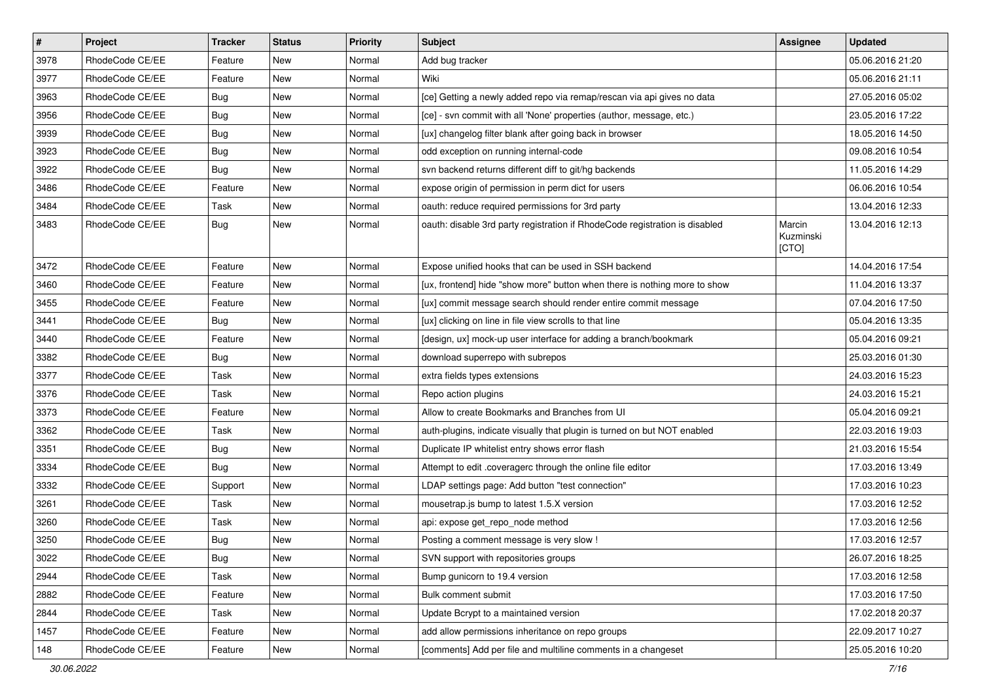| $\pmb{\#}$ | Project         | <b>Tracker</b> | <b>Status</b> | Priority | <b>Subject</b>                                                              | <b>Assignee</b>              | <b>Updated</b>   |
|------------|-----------------|----------------|---------------|----------|-----------------------------------------------------------------------------|------------------------------|------------------|
| 3978       | RhodeCode CE/EE | Feature        | New           | Normal   | Add bug tracker                                                             |                              | 05.06.2016 21:20 |
| 3977       | RhodeCode CE/EE | Feature        | <b>New</b>    | Normal   | Wiki                                                                        |                              | 05.06.2016 21:11 |
| 3963       | RhodeCode CE/EE | Bug            | New           | Normal   | [ce] Getting a newly added repo via remap/rescan via api gives no data      |                              | 27.05.2016 05:02 |
| 3956       | RhodeCode CE/EE | <b>Bug</b>     | New           | Normal   | [ce] - svn commit with all 'None' properties (author, message, etc.)        |                              | 23.05.2016 17:22 |
| 3939       | RhodeCode CE/EE | Bug            | <b>New</b>    | Normal   | [ux] changelog filter blank after going back in browser                     |                              | 18.05.2016 14:50 |
| 3923       | RhodeCode CE/EE | <b>Bug</b>     | New           | Normal   | odd exception on running internal-code                                      |                              | 09.08.2016 10:54 |
| 3922       | RhodeCode CE/EE | Bug            | New           | Normal   | svn backend returns different diff to git/hg backends                       |                              | 11.05.2016 14:29 |
| 3486       | RhodeCode CE/EE | Feature        | <b>New</b>    | Normal   | expose origin of permission in perm dict for users                          |                              | 06.06.2016 10:54 |
| 3484       | RhodeCode CE/EE | Task           | <b>New</b>    | Normal   | oauth: reduce required permissions for 3rd party                            |                              | 13.04.2016 12:33 |
| 3483       | RhodeCode CE/EE | Bug            | <b>New</b>    | Normal   | oauth: disable 3rd party registration if RhodeCode registration is disabled | Marcin<br>Kuzminski<br>[CTO] | 13.04.2016 12:13 |
| 3472       | RhodeCode CE/EE | Feature        | <b>New</b>    | Normal   | Expose unified hooks that can be used in SSH backend                        |                              | 14.04.2016 17:54 |
| 3460       | RhodeCode CE/EE | Feature        | New           | Normal   | [ux, frontend] hide "show more" button when there is nothing more to show   |                              | 11.04.2016 13:37 |
| 3455       | RhodeCode CE/EE | Feature        | New           | Normal   | [ux] commit message search should render entire commit message              |                              | 07.04.2016 17:50 |
| 3441       | RhodeCode CE/EE | Bug            | <b>New</b>    | Normal   | [ux] clicking on line in file view scrolls to that line                     |                              | 05.04.2016 13:35 |
| 3440       | RhodeCode CE/EE | Feature        | <b>New</b>    | Normal   | [design, ux] mock-up user interface for adding a branch/bookmark            |                              | 05.04.2016 09:21 |
| 3382       | RhodeCode CE/EE | Bug            | <b>New</b>    | Normal   | download superrepo with subrepos                                            |                              | 25.03.2016 01:30 |
| 3377       | RhodeCode CE/EE | Task           | New           | Normal   | extra fields types extensions                                               |                              | 24.03.2016 15:23 |
| 3376       | RhodeCode CE/EE | Task           | New           | Normal   | Repo action plugins                                                         |                              | 24.03.2016 15:21 |
| 3373       | RhodeCode CE/EE | Feature        | <b>New</b>    | Normal   | Allow to create Bookmarks and Branches from UI                              |                              | 05.04.2016 09:21 |
| 3362       | RhodeCode CE/EE | Task           | New           | Normal   | auth-plugins, indicate visually that plugin is turned on but NOT enabled    |                              | 22.03.2016 19:03 |
| 3351       | RhodeCode CE/EE | Bug            | New           | Normal   | Duplicate IP whitelist entry shows error flash                              |                              | 21.03.2016 15:54 |
| 3334       | RhodeCode CE/EE | Bug            | New           | Normal   | Attempt to edit .coveragerc through the online file editor                  |                              | 17.03.2016 13:49 |
| 3332       | RhodeCode CE/EE | Support        | <b>New</b>    | Normal   | LDAP settings page: Add button "test connection"                            |                              | 17.03.2016 10:23 |
| 3261       | RhodeCode CE/EE | Task           | <b>New</b>    | Normal   | mousetrap.js bump to latest 1.5.X version                                   |                              | 17.03.2016 12:52 |
| 3260       | RhodeCode CE/EE | Task           | New           | Normal   | api: expose get_repo_node method                                            |                              | 17.03.2016 12:56 |
| 3250       | RhodeCode CE/EE | Bug            | New           | Normal   | Posting a comment message is very slow !                                    |                              | 17.03.2016 12:57 |
| 3022       | RhodeCode CE/EE | <b>Bug</b>     | New           | Normal   | SVN support with repositories groups                                        |                              | 26.07.2016 18:25 |
| 2944       | RhodeCode CE/EE | Task           | New           | Normal   | Bump gunicorn to 19.4 version                                               |                              | 17.03.2016 12:58 |
| 2882       | RhodeCode CE/EE | Feature        | New           | Normal   | Bulk comment submit                                                         |                              | 17.03.2016 17:50 |
| 2844       | RhodeCode CE/EE | Task           | New           | Normal   | Update Bcrypt to a maintained version                                       |                              | 17.02.2018 20:37 |
| 1457       | RhodeCode CE/EE | Feature        | New           | Normal   | add allow permissions inheritance on repo groups                            |                              | 22.09.2017 10:27 |
| 148        | RhodeCode CE/EE | Feature        | New           | Normal   | [comments] Add per file and multiline comments in a changeset               |                              | 25.05.2016 10:20 |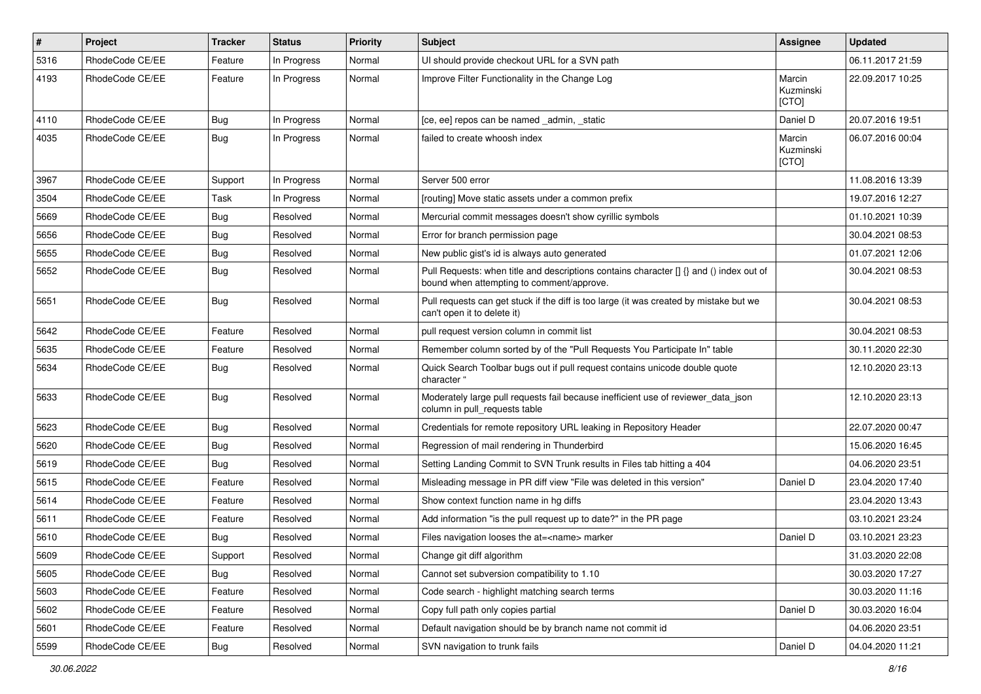| $\pmb{\#}$ | <b>Project</b>  | <b>Tracker</b> | <b>Status</b> | <b>Priority</b> | <b>Subject</b>                                                                                                                       | <b>Assignee</b>              | <b>Updated</b>   |
|------------|-----------------|----------------|---------------|-----------------|--------------------------------------------------------------------------------------------------------------------------------------|------------------------------|------------------|
| 5316       | RhodeCode CE/EE | Feature        | In Progress   | Normal          | UI should provide checkout URL for a SVN path                                                                                        |                              | 06.11.2017 21:59 |
| 4193       | RhodeCode CE/EE | Feature        | In Progress   | Normal          | Improve Filter Functionality in the Change Log                                                                                       | Marcin<br>Kuzminski<br>[CTO] | 22.09.2017 10:25 |
| 4110       | RhodeCode CE/EE | Bug            | In Progress   | Normal          | [ce, ee] repos can be named _admin, _static                                                                                          | Daniel D                     | 20.07.2016 19:51 |
| 4035       | RhodeCode CE/EE | Bug            | In Progress   | Normal          | failed to create whoosh index                                                                                                        | Marcin<br>Kuzminski<br>[CTO] | 06.07.2016 00:04 |
| 3967       | RhodeCode CE/EE | Support        | In Progress   | Normal          | Server 500 error                                                                                                                     |                              | 11.08.2016 13:39 |
| 3504       | RhodeCode CE/EE | Task           | In Progress   | Normal          | [routing] Move static assets under a common prefix                                                                                   |                              | 19.07.2016 12:27 |
| 5669       | RhodeCode CE/EE | Bug            | Resolved      | Normal          | Mercurial commit messages doesn't show cyrillic symbols                                                                              |                              | 01.10.2021 10:39 |
| 5656       | RhodeCode CE/EE | Bug            | Resolved      | Normal          | Error for branch permission page                                                                                                     |                              | 30.04.2021 08:53 |
| 5655       | RhodeCode CE/EE | <b>Bug</b>     | Resolved      | Normal          | New public gist's id is always auto generated                                                                                        |                              | 01.07.2021 12:06 |
| 5652       | RhodeCode CE/EE | Bug            | Resolved      | Normal          | Pull Requests: when title and descriptions contains character [] {} and () index out of<br>bound when attempting to comment/approve. |                              | 30.04.2021 08:53 |
| 5651       | RhodeCode CE/EE | Bug            | Resolved      | Normal          | Pull requests can get stuck if the diff is too large (it was created by mistake but we<br>can't open it to delete it)                |                              | 30.04.2021 08:53 |
| 5642       | RhodeCode CE/EE | Feature        | Resolved      | Normal          | pull request version column in commit list                                                                                           |                              | 30.04.2021 08:53 |
| 5635       | RhodeCode CE/EE | Feature        | Resolved      | Normal          | Remember column sorted by of the "Pull Requests You Participate In" table                                                            |                              | 30.11.2020 22:30 |
| 5634       | RhodeCode CE/EE | Bug            | Resolved      | Normal          | Quick Search Toolbar bugs out if pull request contains unicode double quote<br>character "                                           |                              | 12.10.2020 23:13 |
| 5633       | RhodeCode CE/EE | Bug            | Resolved      | Normal          | Moderately large pull requests fail because inefficient use of reviewer_data_json<br>column in pull requests table                   |                              | 12.10.2020 23:13 |
| 5623       | RhodeCode CE/EE | Bug            | Resolved      | Normal          | Credentials for remote repository URL leaking in Repository Header                                                                   |                              | 22.07.2020 00:47 |
| 5620       | RhodeCode CE/EE | Bug            | Resolved      | Normal          | Regression of mail rendering in Thunderbird                                                                                          |                              | 15.06.2020 16:45 |
| 5619       | RhodeCode CE/EE | Bug            | Resolved      | Normal          | Setting Landing Commit to SVN Trunk results in Files tab hitting a 404                                                               |                              | 04.06.2020 23:51 |
| 5615       | RhodeCode CE/EE | Feature        | Resolved      | Normal          | Misleading message in PR diff view "File was deleted in this version"                                                                | Daniel D                     | 23.04.2020 17:40 |
| 5614       | RhodeCode CE/EE | Feature        | Resolved      | Normal          | Show context function name in hg diffs                                                                                               |                              | 23.04.2020 13:43 |
| 5611       | RhodeCode CE/EE | Feature        | Resolved      | Normal          | Add information "is the pull request up to date?" in the PR page                                                                     |                              | 03.10.2021 23:24 |
| 5610       | RhodeCode CE/EE | <b>Bug</b>     | Resolved      | Normal          | Files navigation looses the at= <name> marker</name>                                                                                 | Daniel D                     | 03.10.2021 23:23 |
| 5609       | RhodeCode CE/EE | Support        | Resolved      | Normal          | Change git diff algorithm                                                                                                            |                              | 31.03.2020 22:08 |
| 5605       | RhodeCode CE/EE | Bug            | Resolved      | Normal          | Cannot set subversion compatibility to 1.10                                                                                          |                              | 30.03.2020 17:27 |
| 5603       | RhodeCode CE/EE | Feature        | Resolved      | Normal          | Code search - highlight matching search terms                                                                                        |                              | 30.03.2020 11:16 |
| 5602       | RhodeCode CE/EE | Feature        | Resolved      | Normal          | Copy full path only copies partial                                                                                                   | Daniel D                     | 30.03.2020 16:04 |
| 5601       | RhodeCode CE/EE | Feature        | Resolved      | Normal          | Default navigation should be by branch name not commit id                                                                            |                              | 04.06.2020 23:51 |
| 5599       | RhodeCode CE/EE | <b>Bug</b>     | Resolved      | Normal          | SVN navigation to trunk fails                                                                                                        | Daniel D                     | 04.04.2020 11:21 |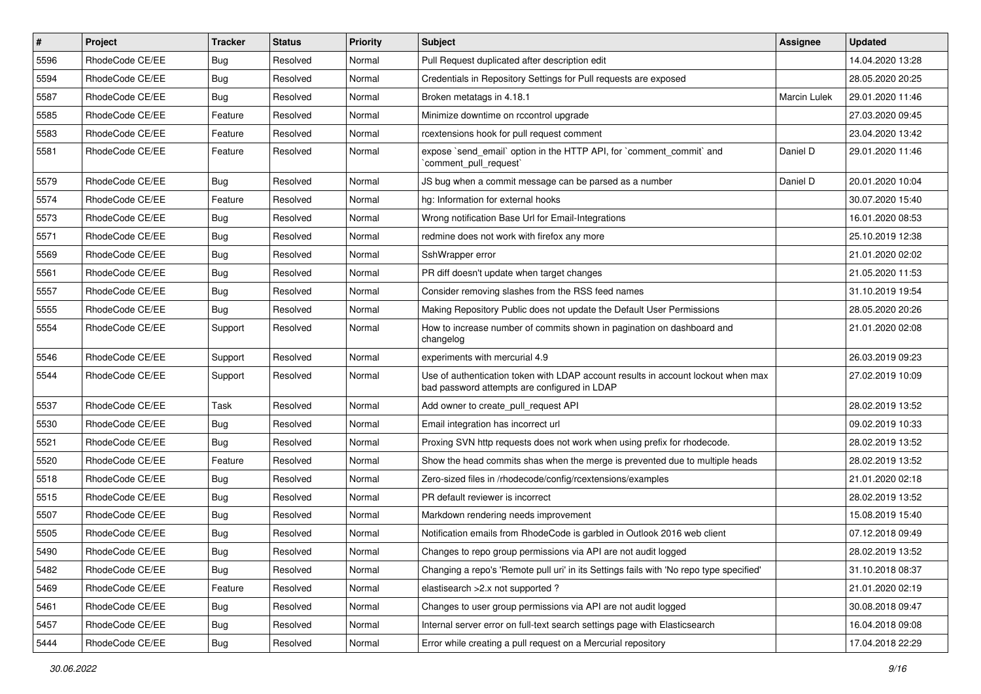| $\sharp$ | Project         | <b>Tracker</b> | <b>Status</b> | <b>Priority</b> | <b>Subject</b>                                                                                                                    | <b>Assignee</b>     | <b>Updated</b>   |
|----------|-----------------|----------------|---------------|-----------------|-----------------------------------------------------------------------------------------------------------------------------------|---------------------|------------------|
| 5596     | RhodeCode CE/EE | <b>Bug</b>     | Resolved      | Normal          | Pull Request duplicated after description edit                                                                                    |                     | 14.04.2020 13:28 |
| 5594     | RhodeCode CE/EE | Bug            | Resolved      | Normal          | Credentials in Repository Settings for Pull requests are exposed                                                                  |                     | 28.05.2020 20:25 |
| 5587     | RhodeCode CE/EE | Bug            | Resolved      | Normal          | Broken metatags in 4.18.1                                                                                                         | <b>Marcin Lulek</b> | 29.01.2020 11:46 |
| 5585     | RhodeCode CE/EE | Feature        | Resolved      | Normal          | Minimize downtime on rccontrol upgrade                                                                                            |                     | 27.03.2020 09:45 |
| 5583     | RhodeCode CE/EE | Feature        | Resolved      | Normal          | rcextensions hook for pull request comment                                                                                        |                     | 23.04.2020 13:42 |
| 5581     | RhodeCode CE/EE | Feature        | Resolved      | Normal          | expose `send email` option in the HTTP API, for `comment commit` and<br>`comment_pull_request`                                    | Daniel D            | 29.01.2020 11:46 |
| 5579     | RhodeCode CE/EE | Bug            | Resolved      | Normal          | JS bug when a commit message can be parsed as a number                                                                            | Daniel D            | 20.01.2020 10:04 |
| 5574     | RhodeCode CE/EE | Feature        | Resolved      | Normal          | hg: Information for external hooks                                                                                                |                     | 30.07.2020 15:40 |
| 5573     | RhodeCode CE/EE | Bug            | Resolved      | Normal          | Wrong notification Base Url for Email-Integrations                                                                                |                     | 16.01.2020 08:53 |
| 5571     | RhodeCode CE/EE | Bug            | Resolved      | Normal          | redmine does not work with firefox any more                                                                                       |                     | 25.10.2019 12:38 |
| 5569     | RhodeCode CE/EE | <b>Bug</b>     | Resolved      | Normal          | SshWrapper error                                                                                                                  |                     | 21.01.2020 02:02 |
| 5561     | RhodeCode CE/EE | Bug            | Resolved      | Normal          | PR diff doesn't update when target changes                                                                                        |                     | 21.05.2020 11:53 |
| 5557     | RhodeCode CE/EE | <b>Bug</b>     | Resolved      | Normal          | Consider removing slashes from the RSS feed names                                                                                 |                     | 31.10.2019 19:54 |
| 5555     | RhodeCode CE/EE | Bug            | Resolved      | Normal          | Making Repository Public does not update the Default User Permissions                                                             |                     | 28.05.2020 20:26 |
| 5554     | RhodeCode CE/EE | Support        | Resolved      | Normal          | How to increase number of commits shown in pagination on dashboard and<br>changelog                                               |                     | 21.01.2020 02:08 |
| 5546     | RhodeCode CE/EE | Support        | Resolved      | Normal          | experiments with mercurial 4.9                                                                                                    |                     | 26.03.2019 09:23 |
| 5544     | RhodeCode CE/EE | Support        | Resolved      | Normal          | Use of authentication token with LDAP account results in account lockout when max<br>bad password attempts are configured in LDAP |                     | 27.02.2019 10:09 |
| 5537     | RhodeCode CE/EE | Task           | Resolved      | Normal          | Add owner to create_pull_request API                                                                                              |                     | 28.02.2019 13:52 |
| 5530     | RhodeCode CE/EE | <b>Bug</b>     | Resolved      | Normal          | Email integration has incorrect url                                                                                               |                     | 09.02.2019 10:33 |
| 5521     | RhodeCode CE/EE | Bug            | Resolved      | Normal          | Proxing SVN http requests does not work when using prefix for rhodecode.                                                          |                     | 28.02.2019 13:52 |
| 5520     | RhodeCode CE/EE | Feature        | Resolved      | Normal          | Show the head commits shas when the merge is prevented due to multiple heads                                                      |                     | 28.02.2019 13:52 |
| 5518     | RhodeCode CE/EE | <b>Bug</b>     | Resolved      | Normal          | Zero-sized files in /rhodecode/config/rcextensions/examples                                                                       |                     | 21.01.2020 02:18 |
| 5515     | RhodeCode CE/EE | Bug            | Resolved      | Normal          | PR default reviewer is incorrect                                                                                                  |                     | 28.02.2019 13:52 |
| 5507     | RhodeCode CE/EE | Bug            | Resolved      | Normal          | Markdown rendering needs improvement                                                                                              |                     | 15.08.2019 15:40 |
| 5505     | RhodeCode CE/EE | Bug            | Resolved      | Normal          | Notification emails from RhodeCode is garbled in Outlook 2016 web client                                                          |                     | 07.12.2018 09:49 |
| 5490     | RhodeCode CE/EE | Bug            | Resolved      | Normal          | Changes to repo group permissions via API are not audit logged                                                                    |                     | 28.02.2019 13:52 |
| 5482     | RhodeCode CE/EE | Bug            | Resolved      | Normal          | Changing a repo's 'Remote pull uri' in its Settings fails with 'No repo type specified'                                           |                     | 31.10.2018 08:37 |
| 5469     | RhodeCode CE/EE | Feature        | Resolved      | Normal          | elastisearch > 2.x not supported ?                                                                                                |                     | 21.01.2020 02:19 |
| 5461     | RhodeCode CE/EE | Bug            | Resolved      | Normal          | Changes to user group permissions via API are not audit logged                                                                    |                     | 30.08.2018 09:47 |
| 5457     | RhodeCode CE/EE | Bug            | Resolved      | Normal          | Internal server error on full-text search settings page with Elasticsearch                                                        |                     | 16.04.2018 09:08 |
| 5444     | RhodeCode CE/EE | <b>Bug</b>     | Resolved      | Normal          | Error while creating a pull request on a Mercurial repository                                                                     |                     | 17.04.2018 22:29 |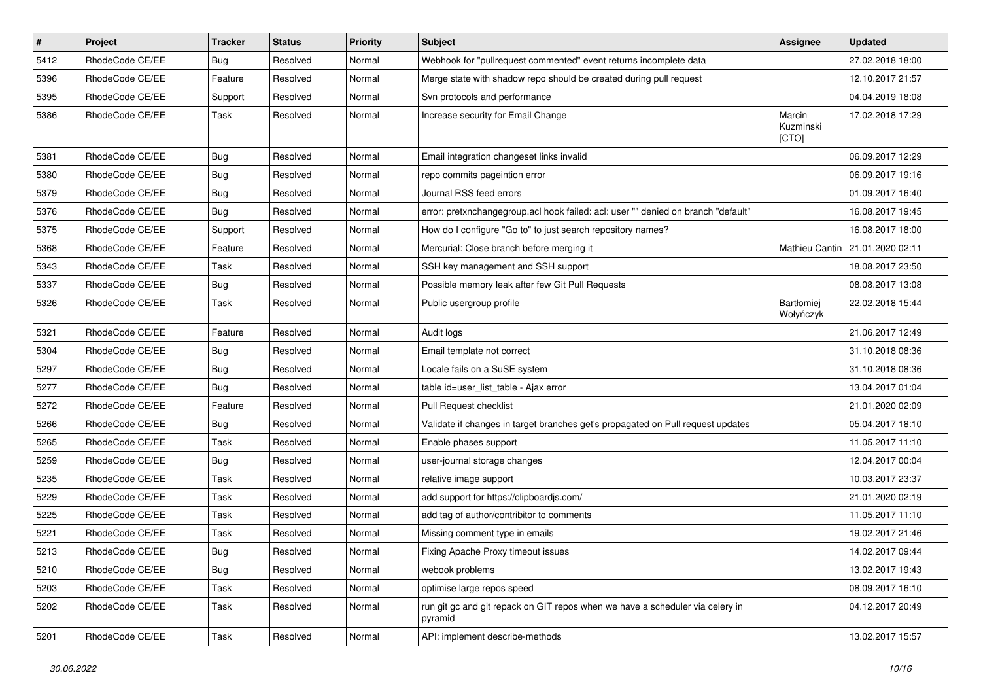| #    | Project         | <b>Tracker</b> | <b>Status</b> | <b>Priority</b> | <b>Subject</b>                                                                           | Assignee                     | <b>Updated</b>   |
|------|-----------------|----------------|---------------|-----------------|------------------------------------------------------------------------------------------|------------------------------|------------------|
| 5412 | RhodeCode CE/EE | Bug            | Resolved      | Normal          | Webhook for "pullrequest commented" event returns incomplete data                        |                              | 27.02.2018 18:00 |
| 5396 | RhodeCode CE/EE | Feature        | Resolved      | Normal          | Merge state with shadow repo should be created during pull request                       |                              | 12.10.2017 21:57 |
| 5395 | RhodeCode CE/EE | Support        | Resolved      | Normal          | Svn protocols and performance                                                            |                              | 04.04.2019 18:08 |
| 5386 | RhodeCode CE/EE | Task           | Resolved      | Normal          | Increase security for Email Change                                                       | Marcin<br>Kuzminski<br>[CTO] | 17.02.2018 17:29 |
| 5381 | RhodeCode CE/EE | Bug            | Resolved      | Normal          | Email integration changeset links invalid                                                |                              | 06.09.2017 12:29 |
| 5380 | RhodeCode CE/EE | <b>Bug</b>     | Resolved      | Normal          | repo commits pageintion error                                                            |                              | 06.09.2017 19:16 |
| 5379 | RhodeCode CE/EE | Bug            | Resolved      | Normal          | Journal RSS feed errors                                                                  |                              | 01.09.2017 16:40 |
| 5376 | RhodeCode CE/EE | Bug            | Resolved      | Normal          | error: pretxnchangegroup.acl hook failed: acl: user "" denied on branch "default"        |                              | 16.08.2017 19:45 |
| 5375 | RhodeCode CE/EE | Support        | Resolved      | Normal          | How do I configure "Go to" to just search repository names?                              |                              | 16.08.2017 18:00 |
| 5368 | RhodeCode CE/EE | Feature        | Resolved      | Normal          | Mercurial: Close branch before merging it                                                | Mathieu Cantin               | 21.01.2020 02:11 |
| 5343 | RhodeCode CE/EE | Task           | Resolved      | Normal          | SSH key management and SSH support                                                       |                              | 18.08.2017 23:50 |
| 5337 | RhodeCode CE/EE | Bug            | Resolved      | Normal          | Possible memory leak after few Git Pull Requests                                         |                              | 08.08.2017 13:08 |
| 5326 | RhodeCode CE/EE | Task           | Resolved      | Normal          | Public usergroup profile                                                                 | Bartłomiej<br>Wołyńczyk      | 22.02.2018 15:44 |
| 5321 | RhodeCode CE/EE | Feature        | Resolved      | Normal          | Audit logs                                                                               |                              | 21.06.2017 12:49 |
| 5304 | RhodeCode CE/EE | <b>Bug</b>     | Resolved      | Normal          | Email template not correct                                                               |                              | 31.10.2018 08:36 |
| 5297 | RhodeCode CE/EE | Bug            | Resolved      | Normal          | Locale fails on a SuSE system                                                            |                              | 31.10.2018 08:36 |
| 5277 | RhodeCode CE/EE | Bug            | Resolved      | Normal          | table id=user list table - Ajax error                                                    |                              | 13.04.2017 01:04 |
| 5272 | RhodeCode CE/EE | Feature        | Resolved      | Normal          | Pull Request checklist                                                                   |                              | 21.01.2020 02:09 |
| 5266 | RhodeCode CE/EE | Bug            | Resolved      | Normal          | Validate if changes in target branches get's propagated on Pull request updates          |                              | 05.04.2017 18:10 |
| 5265 | RhodeCode CE/EE | Task           | Resolved      | Normal          | Enable phases support                                                                    |                              | 11.05.2017 11:10 |
| 5259 | RhodeCode CE/EE | Bug            | Resolved      | Normal          | user-journal storage changes                                                             |                              | 12.04.2017 00:04 |
| 5235 | RhodeCode CE/EE | Task           | Resolved      | Normal          | relative image support                                                                   |                              | 10.03.2017 23:37 |
| 5229 | RhodeCode CE/EE | Task           | Resolved      | Normal          | add support for https://clipboardjs.com/                                                 |                              | 21.01.2020 02:19 |
| 5225 | RhodeCode CE/EE | Task           | Resolved      | Normal          | add tag of author/contribitor to comments                                                |                              | 11.05.2017 11:10 |
| 5221 | RhodeCode CE/EE | Task           | Resolved      | Normal          | Missing comment type in emails                                                           |                              | 19.02.2017 21:46 |
| 5213 | RhodeCode CE/EE | Bug            | Resolved      | Normal          | Fixing Apache Proxy timeout issues                                                       |                              | 14.02.2017 09:44 |
| 5210 | RhodeCode CE/EE | Bug            | Resolved      | Normal          | webook problems                                                                          |                              | 13.02.2017 19:43 |
| 5203 | RhodeCode CE/EE | Task           | Resolved      | Normal          | optimise large repos speed                                                               |                              | 08.09.2017 16:10 |
| 5202 | RhodeCode CE/EE | Task           | Resolved      | Normal          | run git gc and git repack on GIT repos when we have a scheduler via celery in<br>pyramid |                              | 04.12.2017 20:49 |
| 5201 | RhodeCode CE/EE | Task           | Resolved      | Normal          | API: implement describe-methods                                                          |                              | 13.02.2017 15:57 |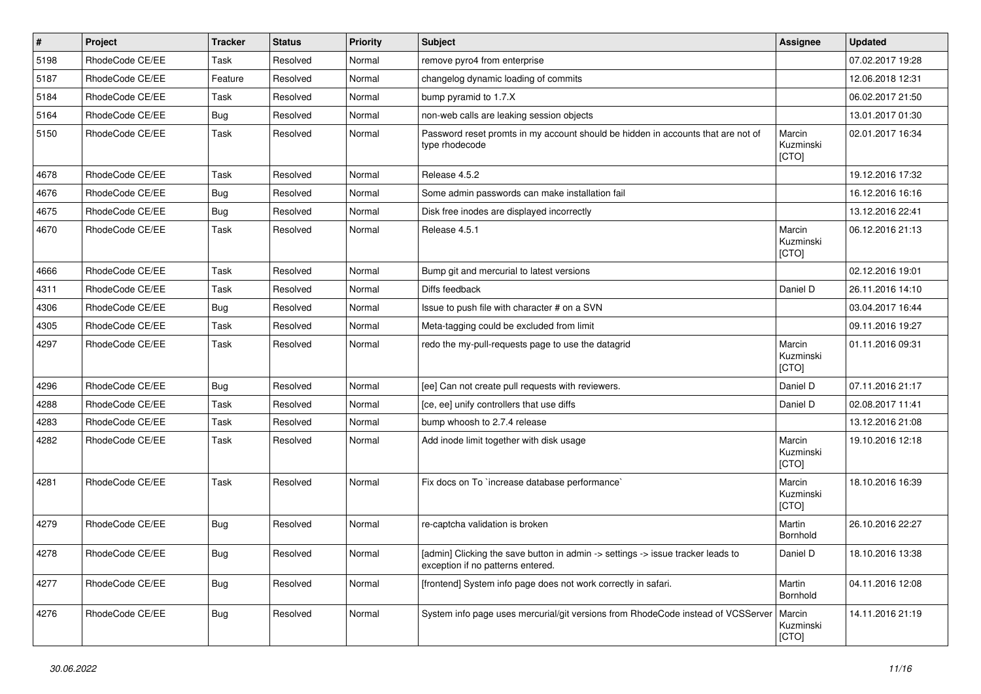| $\vert$ # | Project         | <b>Tracker</b> | <b>Status</b> | <b>Priority</b> | Subject                                                                                                              | Assignee                     | <b>Updated</b>   |
|-----------|-----------------|----------------|---------------|-----------------|----------------------------------------------------------------------------------------------------------------------|------------------------------|------------------|
| 5198      | RhodeCode CE/EE | Task           | Resolved      | Normal          | remove pyro4 from enterprise                                                                                         |                              | 07.02.2017 19:28 |
| 5187      | RhodeCode CE/EE | Feature        | Resolved      | Normal          | changelog dynamic loading of commits                                                                                 |                              | 12.06.2018 12:31 |
| 5184      | RhodeCode CE/EE | Task           | Resolved      | Normal          | bump pyramid to 1.7.X                                                                                                |                              | 06.02.2017 21:50 |
| 5164      | RhodeCode CE/EE | Bug            | Resolved      | Normal          | non-web calls are leaking session objects                                                                            |                              | 13.01.2017 01:30 |
| 5150      | RhodeCode CE/EE | Task           | Resolved      | Normal          | Password reset promts in my account should be hidden in accounts that are not of<br>type rhodecode                   | Marcin<br>Kuzminski<br>[CTO] | 02.01.2017 16:34 |
| 4678      | RhodeCode CE/EE | Task           | Resolved      | Normal          | Release 4.5.2                                                                                                        |                              | 19.12.2016 17:32 |
| 4676      | RhodeCode CE/EE | Bug            | Resolved      | Normal          | Some admin passwords can make installation fail                                                                      |                              | 16.12.2016 16:16 |
| 4675      | RhodeCode CE/EE | Bug            | Resolved      | Normal          | Disk free inodes are displayed incorrectly                                                                           |                              | 13.12.2016 22:41 |
| 4670      | RhodeCode CE/EE | Task           | Resolved      | Normal          | Release 4.5.1                                                                                                        | Marcin<br>Kuzminski<br>[CTO] | 06.12.2016 21:13 |
| 4666      | RhodeCode CE/EE | Task           | Resolved      | Normal          | Bump git and mercurial to latest versions                                                                            |                              | 02.12.2016 19:01 |
| 4311      | RhodeCode CE/EE | Task           | Resolved      | Normal          | Diffs feedback                                                                                                       | Daniel D                     | 26.11.2016 14:10 |
| 4306      | RhodeCode CE/EE | Bug            | Resolved      | Normal          | Issue to push file with character # on a SVN                                                                         |                              | 03.04.2017 16:44 |
| 4305      | RhodeCode CE/EE | Task           | Resolved      | Normal          | Meta-tagging could be excluded from limit                                                                            |                              | 09.11.2016 19:27 |
| 4297      | RhodeCode CE/EE | Task           | Resolved      | Normal          | redo the my-pull-requests page to use the datagrid                                                                   | Marcin<br>Kuzminski<br>[CTO] | 01.11.2016 09:31 |
| 4296      | RhodeCode CE/EE | <b>Bug</b>     | Resolved      | Normal          | [ee] Can not create pull requests with reviewers.                                                                    | Daniel D                     | 07.11.2016 21:17 |
| 4288      | RhodeCode CE/EE | Task           | Resolved      | Normal          | [ce, ee] unify controllers that use diffs                                                                            | Daniel D                     | 02.08.2017 11:41 |
| 4283      | RhodeCode CE/EE | Task           | Resolved      | Normal          | bump whoosh to 2.7.4 release                                                                                         |                              | 13.12.2016 21:08 |
| 4282      | RhodeCode CE/EE | Task           | Resolved      | Normal          | Add inode limit together with disk usage                                                                             | Marcin<br>Kuzminski<br>[CTO] | 19.10.2016 12:18 |
| 4281      | RhodeCode CE/EE | Task           | Resolved      | Normal          | Fix docs on To `increase database performance`                                                                       | Marcin<br>Kuzminski<br>[CTO] | 18.10.2016 16:39 |
| 4279      | RhodeCode CE/EE | Bug            | Resolved      | Normal          | re-captcha validation is broken                                                                                      | Martin<br>Bornhold           | 26.10.2016 22:27 |
| 4278      | RhodeCode CE/EE | <b>Bug</b>     | Resolved      | Normal          | [admin] Clicking the save button in admin -> settings -> issue tracker leads to<br>exception if no patterns entered. | Daniel D                     | 18.10.2016 13:38 |
| 4277      | RhodeCode CE/EE | Bug            | Resolved      | Normal          | [frontend] System info page does not work correctly in safari.                                                       | Martin<br>Bornhold           | 04.11.2016 12:08 |
| 4276      | RhodeCode CE/EE | Bug            | Resolved      | Normal          | System info page uses mercurial/git versions from RhodeCode instead of VCSServer                                     | Marcin<br>Kuzminski<br>[CTO] | 14.11.2016 21:19 |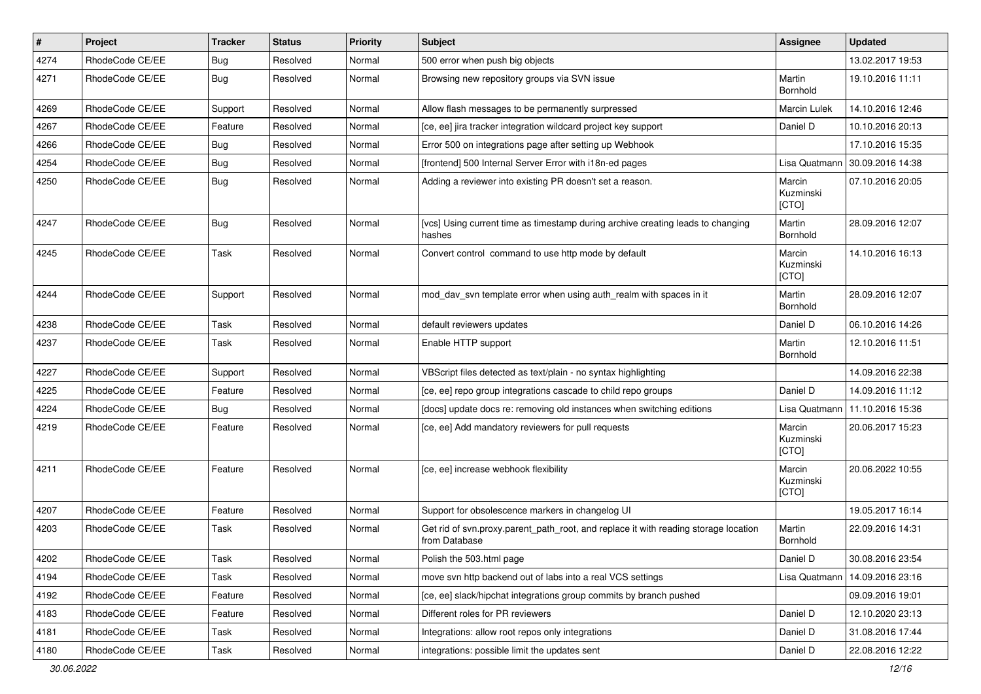| $\vert$ # | Project         | <b>Tracker</b> | <b>Status</b> | Priority | Subject                                                                                              | <b>Assignee</b>              | <b>Updated</b>   |
|-----------|-----------------|----------------|---------------|----------|------------------------------------------------------------------------------------------------------|------------------------------|------------------|
| 4274      | RhodeCode CE/EE | <b>Bug</b>     | Resolved      | Normal   | 500 error when push big objects                                                                      |                              | 13.02.2017 19:53 |
| 4271      | RhodeCode CE/EE | Bug            | Resolved      | Normal   | Browsing new repository groups via SVN issue                                                         | Martin<br>Bornhold           | 19.10.2016 11:11 |
| 4269      | RhodeCode CE/EE | Support        | Resolved      | Normal   | Allow flash messages to be permanently surpressed                                                    | Marcin Lulek                 | 14.10.2016 12:46 |
| 4267      | RhodeCode CE/EE | Feature        | Resolved      | Normal   | [ce, ee] jira tracker integration wildcard project key support                                       | Daniel D                     | 10.10.2016 20:13 |
| 4266      | RhodeCode CE/EE | Bug            | Resolved      | Normal   | Error 500 on integrations page after setting up Webhook                                              |                              | 17.10.2016 15:35 |
| 4254      | RhodeCode CE/EE | Bug            | Resolved      | Normal   | [frontend] 500 Internal Server Error with i18n-ed pages                                              | Lisa Quatmann                | 30.09.2016 14:38 |
| 4250      | RhodeCode CE/EE | <b>Bug</b>     | Resolved      | Normal   | Adding a reviewer into existing PR doesn't set a reason.                                             | Marcin<br>Kuzminski<br>[CTO] | 07.10.2016 20:05 |
| 4247      | RhodeCode CE/EE | <b>Bug</b>     | Resolved      | Normal   | [vcs] Using current time as timestamp during archive creating leads to changing<br>hashes            | Martin<br>Bornhold           | 28.09.2016 12:07 |
| 4245      | RhodeCode CE/EE | Task           | Resolved      | Normal   | Convert control command to use http mode by default                                                  | Marcin<br>Kuzminski<br>[CTO] | 14.10.2016 16:13 |
| 4244      | RhodeCode CE/EE | Support        | Resolved      | Normal   | mod_dav_svn template error when using auth_realm with spaces in it                                   | Martin<br>Bornhold           | 28.09.2016 12:07 |
| 4238      | RhodeCode CE/EE | Task           | Resolved      | Normal   | default reviewers updates                                                                            | Daniel D                     | 06.10.2016 14:26 |
| 4237      | RhodeCode CE/EE | Task           | Resolved      | Normal   | Enable HTTP support                                                                                  | Martin<br>Bornhold           | 12.10.2016 11:51 |
| 4227      | RhodeCode CE/EE | Support        | Resolved      | Normal   | VBScript files detected as text/plain - no syntax highlighting                                       |                              | 14.09.2016 22:38 |
| 4225      | RhodeCode CE/EE | Feature        | Resolved      | Normal   | [ce, ee] repo group integrations cascade to child repo groups                                        | Daniel D                     | 14.09.2016 11:12 |
| 4224      | RhodeCode CE/EE | Bug            | Resolved      | Normal   | [docs] update docs re: removing old instances when switching editions                                | Lisa Quatmann                | 11.10.2016 15:36 |
| 4219      | RhodeCode CE/EE | Feature        | Resolved      | Normal   | [ce, ee] Add mandatory reviewers for pull requests                                                   | Marcin<br>Kuzminski<br>[CTO] | 20.06.2017 15:23 |
| 4211      | RhodeCode CE/EE | Feature        | Resolved      | Normal   | [ce, ee] increase webhook flexibility                                                                | Marcin<br>Kuzminski<br>[CTO] | 20.06.2022 10:55 |
| 4207      | RhodeCode CE/EE | Feature        | Resolved      | Normal   | Support for obsolescence markers in changelog UI                                                     |                              | 19.05.2017 16:14 |
| 4203      | RhodeCode CE/EE | Task           | Resolved      | Normal   | Get rid of syn.proxy.parent path root, and replace it with reading storage location<br>from Database | Martin<br>Bornhold           | 22.09.2016 14:31 |
| 4202      | RhodeCode CE/EE | Task           | Resolved      | Normal   | Polish the 503.html page                                                                             | Daniel D                     | 30.08.2016 23:54 |
| 4194      | RhodeCode CE/EE | Task           | Resolved      | Normal   | move svn http backend out of labs into a real VCS settings                                           | Lisa Quatmann                | 14.09.2016 23:16 |
| 4192      | RhodeCode CE/EE | Feature        | Resolved      | Normal   | [ce, ee] slack/hipchat integrations group commits by branch pushed                                   |                              | 09.09.2016 19:01 |
| 4183      | RhodeCode CE/EE | Feature        | Resolved      | Normal   | Different roles for PR reviewers                                                                     | Daniel D                     | 12.10.2020 23:13 |
| 4181      | RhodeCode CE/EE | Task           | Resolved      | Normal   | Integrations: allow root repos only integrations                                                     | Daniel D                     | 31.08.2016 17:44 |
| 4180      | RhodeCode CE/EE | Task           | Resolved      | Normal   | integrations: possible limit the updates sent                                                        | Daniel D                     | 22.08.2016 12:22 |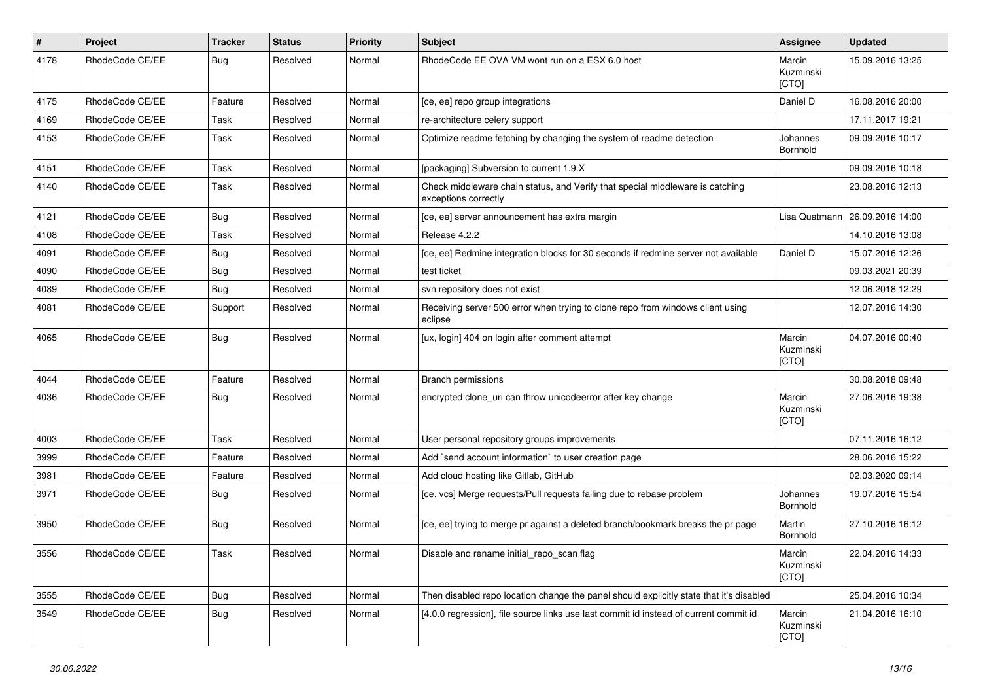| $\pmb{\#}$ | Project         | <b>Tracker</b> | <b>Status</b> | <b>Priority</b> | <b>Subject</b>                                                                                        | <b>Assignee</b>              | <b>Updated</b>   |
|------------|-----------------|----------------|---------------|-----------------|-------------------------------------------------------------------------------------------------------|------------------------------|------------------|
| 4178       | RhodeCode CE/EE | Bug            | Resolved      | Normal          | RhodeCode EE OVA VM wont run on a ESX 6.0 host                                                        | Marcin<br>Kuzminski<br>[CTO] | 15.09.2016 13:25 |
| 4175       | RhodeCode CE/EE | Feature        | Resolved      | Normal          | [ce, ee] repo group integrations                                                                      | Daniel D                     | 16.08.2016 20:00 |
| 4169       | RhodeCode CE/EE | <b>Task</b>    | Resolved      | Normal          | re-architecture celery support                                                                        |                              | 17.11.2017 19:21 |
| 4153       | RhodeCode CE/EE | Task           | Resolved      | Normal          | Optimize readme fetching by changing the system of readme detection                                   | Johannes<br>Bornhold         | 09.09.2016 10:17 |
| 4151       | RhodeCode CE/EE | Task           | Resolved      | Normal          | [packaging] Subversion to current 1.9.X                                                               |                              | 09.09.2016 10:18 |
| 4140       | RhodeCode CE/EE | Task           | Resolved      | Normal          | Check middleware chain status, and Verify that special middleware is catching<br>exceptions correctly |                              | 23.08.2016 12:13 |
| 4121       | RhodeCode CE/EE | Bug            | Resolved      | Normal          | [ce, ee] server announcement has extra margin                                                         | Lisa Quatmann                | 26.09.2016 14:00 |
| 4108       | RhodeCode CE/EE | Task           | Resolved      | Normal          | Release 4.2.2                                                                                         |                              | 14.10.2016 13:08 |
| 4091       | RhodeCode CE/EE | Bug            | Resolved      | Normal          | [ce, ee] Redmine integration blocks for 30 seconds if redmine server not available                    | Daniel D                     | 15.07.2016 12:26 |
| 4090       | RhodeCode CE/EE | Bug            | Resolved      | Normal          | test ticket                                                                                           |                              | 09.03.2021 20:39 |
| 4089       | RhodeCode CE/EE | Bug            | Resolved      | Normal          | svn repository does not exist                                                                         |                              | 12.06.2018 12:29 |
| 4081       | RhodeCode CE/EE | Support        | Resolved      | Normal          | Receiving server 500 error when trying to clone repo from windows client using<br>eclipse             |                              | 12.07.2016 14:30 |
| 4065       | RhodeCode CE/EE | <b>Bug</b>     | Resolved      | Normal          | [ux, login] 404 on login after comment attempt                                                        | Marcin<br>Kuzminski<br>[CTO] | 04.07.2016 00:40 |
| 4044       | RhodeCode CE/EE | Feature        | Resolved      | Normal          | <b>Branch permissions</b>                                                                             |                              | 30.08.2018 09:48 |
| 4036       | RhodeCode CE/EE | Bug            | Resolved      | Normal          | encrypted clone_uri can throw unicodeerror after key change                                           | Marcin<br>Kuzminski<br>[CTO] | 27.06.2016 19:38 |
| 4003       | RhodeCode CE/EE | Task           | Resolved      | Normal          | User personal repository groups improvements                                                          |                              | 07.11.2016 16:12 |
| 3999       | RhodeCode CE/EE | Feature        | Resolved      | Normal          | Add `send account information` to user creation page                                                  |                              | 28.06.2016 15:22 |
| 3981       | RhodeCode CE/EE | Feature        | Resolved      | Normal          | Add cloud hosting like Gitlab, GitHub                                                                 |                              | 02.03.2020 09:14 |
| 3971       | RhodeCode CE/EE | Bug            | Resolved      | Normal          | [ce, vcs] Merge requests/Pull requests failing due to rebase problem                                  | Johannes<br>Bornhold         | 19.07.2016 15:54 |
| 3950       | RhodeCode CE/EE | Bug            | Resolved      | Normal          | [ce, ee] trying to merge pr against a deleted branch/bookmark breaks the pr page                      | Martin<br>Bornhold           | 27.10.2016 16:12 |
| 3556       | RhodeCode CE/EE | Task           | Resolved      | Normal          | Disable and rename initial_repo_scan flag                                                             | Marcin<br>Kuzminski<br>[CTO] | 22.04.2016 14:33 |
| 3555       | RhodeCode CE/EE | <b>Bug</b>     | Resolved      | Normal          | Then disabled repo location change the panel should explicitly state that it's disabled               |                              | 25.04.2016 10:34 |
| 3549       | RhodeCode CE/EE | <b>Bug</b>     | Resolved      | Normal          | [4.0.0 regression], file source links use last commit id instead of current commit id                 | Marcin<br>Kuzminski<br>[CTO] | 21.04.2016 16:10 |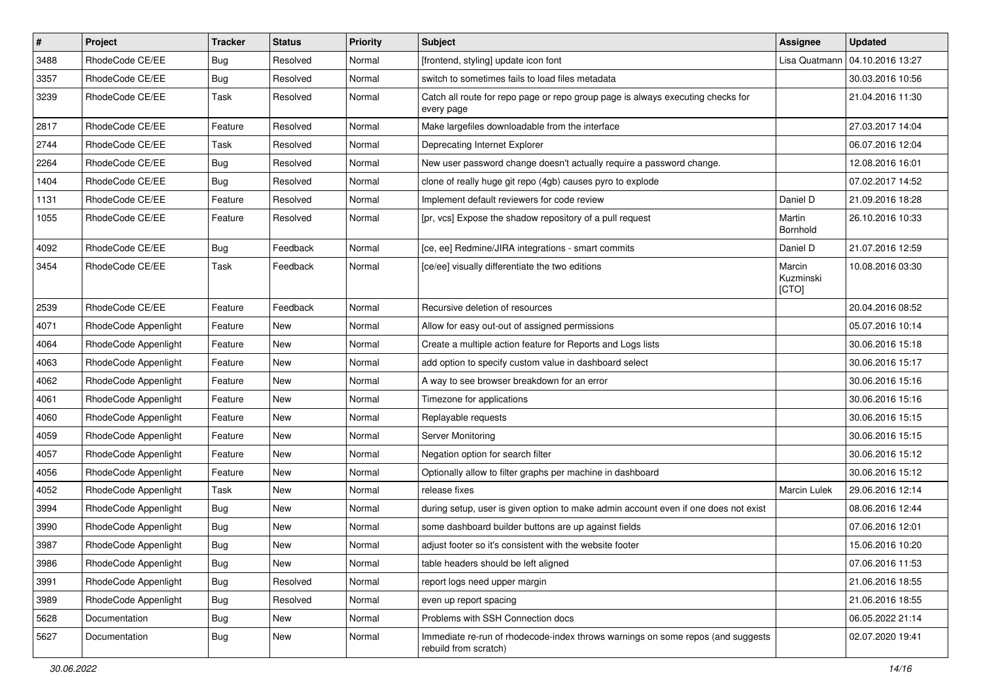| $\vert$ # | Project              | <b>Tracker</b> | <b>Status</b> | <b>Priority</b> | <b>Subject</b>                                                                                           | <b>Assignee</b>              | <b>Updated</b>   |
|-----------|----------------------|----------------|---------------|-----------------|----------------------------------------------------------------------------------------------------------|------------------------------|------------------|
| 3488      | RhodeCode CE/EE      | <b>Bug</b>     | Resolved      | Normal          | [frontend, styling] update icon font                                                                     | Lisa Quatmann                | 04.10.2016 13:27 |
| 3357      | RhodeCode CE/EE      | Bug            | Resolved      | Normal          | switch to sometimes fails to load files metadata                                                         |                              | 30.03.2016 10:56 |
| 3239      | RhodeCode CE/EE      | Task           | Resolved      | Normal          | Catch all route for repo page or repo group page is always executing checks for<br>every page            |                              | 21.04.2016 11:30 |
| 2817      | RhodeCode CE/EE      | Feature        | Resolved      | Normal          | Make largefiles downloadable from the interface                                                          |                              | 27.03.2017 14:04 |
| 2744      | RhodeCode CE/EE      | Task           | Resolved      | Normal          | Deprecating Internet Explorer                                                                            |                              | 06.07.2016 12:04 |
| 2264      | RhodeCode CE/EE      | <b>Bug</b>     | Resolved      | Normal          | New user password change doesn't actually require a password change.                                     |                              | 12.08.2016 16:01 |
| 1404      | RhodeCode CE/EE      | <b>Bug</b>     | Resolved      | Normal          | clone of really huge git repo (4gb) causes pyro to explode                                               |                              | 07.02.2017 14:52 |
| 1131      | RhodeCode CE/EE      | Feature        | Resolved      | Normal          | Implement default reviewers for code review                                                              | Daniel D                     | 21.09.2016 18:28 |
| 1055      | RhodeCode CE/EE      | Feature        | Resolved      | Normal          | [pr, vcs] Expose the shadow repository of a pull request                                                 | Martin<br>Bornhold           | 26.10.2016 10:33 |
| 4092      | RhodeCode CE/EE      | <b>Bug</b>     | Feedback      | Normal          | [ce, ee] Redmine/JIRA integrations - smart commits                                                       | Daniel D                     | 21.07.2016 12:59 |
| 3454      | RhodeCode CE/EE      | Task           | Feedback      | Normal          | [ce/ee] visually differentiate the two editions                                                          | Marcin<br>Kuzminski<br>[CTO] | 10.08.2016 03:30 |
| 2539      | RhodeCode CE/EE      | Feature        | Feedback      | Normal          | Recursive deletion of resources                                                                          |                              | 20.04.2016 08:52 |
| 4071      | RhodeCode Appenlight | Feature        | New           | Normal          | Allow for easy out-out of assigned permissions                                                           |                              | 05.07.2016 10:14 |
| 4064      | RhodeCode Appenlight | Feature        | New           | Normal          | Create a multiple action feature for Reports and Logs lists                                              |                              | 30.06.2016 15:18 |
| 4063      | RhodeCode Appenlight | Feature        | New           | Normal          | add option to specify custom value in dashboard select                                                   |                              | 30.06.2016 15:17 |
| 4062      | RhodeCode Appenlight | Feature        | New           | Normal          | A way to see browser breakdown for an error                                                              |                              | 30.06.2016 15:16 |
| 4061      | RhodeCode Appenlight | Feature        | New           | Normal          | Timezone for applications                                                                                |                              | 30.06.2016 15:16 |
| 4060      | RhodeCode Appenlight | Feature        | New           | Normal          | Replayable requests                                                                                      |                              | 30.06.2016 15:15 |
| 4059      | RhodeCode Appenlight | Feature        | New           | Normal          | Server Monitoring                                                                                        |                              | 30.06.2016 15:15 |
| 4057      | RhodeCode Appenlight | Feature        | New           | Normal          | Negation option for search filter                                                                        |                              | 30.06.2016 15:12 |
| 4056      | RhodeCode Appenlight | Feature        | New           | Normal          | Optionally allow to filter graphs per machine in dashboard                                               |                              | 30.06.2016 15:12 |
| 4052      | RhodeCode Appenlight | Task           | New           | Normal          | release fixes                                                                                            | <b>Marcin Lulek</b>          | 29.06.2016 12:14 |
| 3994      | RhodeCode Appenlight | Bug            | New           | Normal          | during setup, user is given option to make admin account even if one does not exist                      |                              | 08.06.2016 12:44 |
| 3990      | RhodeCode Appenlight | <b>Bug</b>     | New           | Normal          | some dashboard builder buttons are up against fields                                                     |                              | 07.06.2016 12:01 |
| 3987      | RhodeCode Appenlight | <b>Bug</b>     | New           | Normal          | adjust footer so it's consistent with the website footer                                                 |                              | 15.06.2016 10:20 |
| 3986      | RhodeCode Appenlight | <b>Bug</b>     | New           | Normal          | table headers should be left aligned                                                                     |                              | 07.06.2016 11:53 |
| 3991      | RhodeCode Appenlight | Bug            | Resolved      | Normal          | report logs need upper margin                                                                            |                              | 21.06.2016 18:55 |
| 3989      | RhodeCode Appenlight | Bug            | Resolved      | Normal          | even up report spacing                                                                                   |                              | 21.06.2016 18:55 |
| 5628      | Documentation        | <b>Bug</b>     | New           | Normal          | Problems with SSH Connection docs                                                                        |                              | 06.05.2022 21:14 |
| 5627      | Documentation        | Bug            | New           | Normal          | Immediate re-run of rhodecode-index throws warnings on some repos (and suggests<br>rebuild from scratch) |                              | 02.07.2020 19:41 |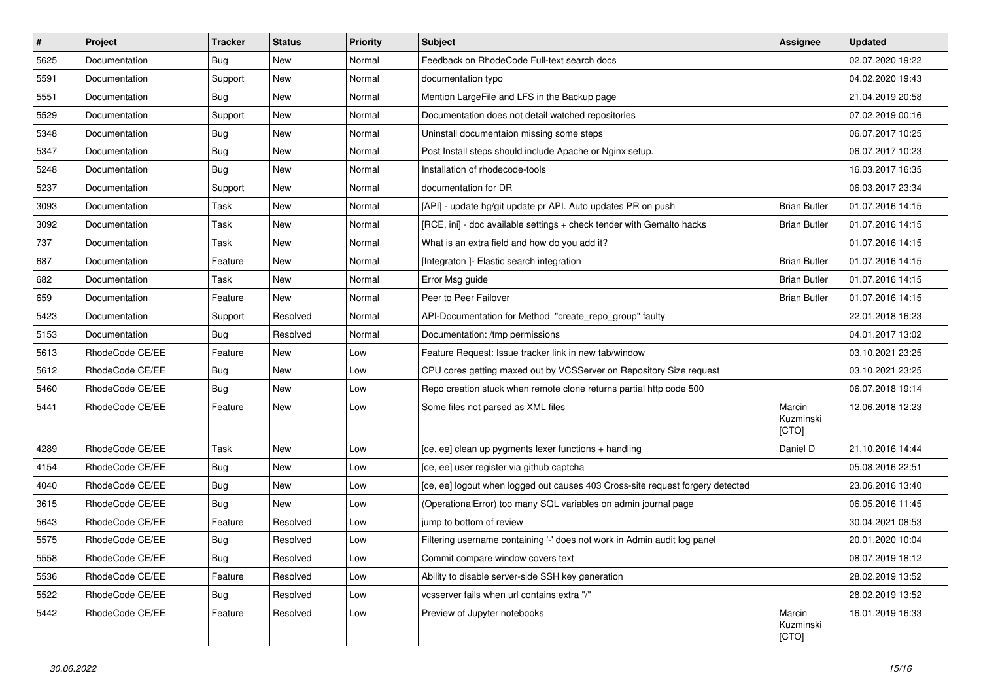| $\vert$ # | Project         | <b>Tracker</b> | <b>Status</b> | <b>Priority</b> | <b>Subject</b>                                                                 | <b>Assignee</b>              | <b>Updated</b>   |
|-----------|-----------------|----------------|---------------|-----------------|--------------------------------------------------------------------------------|------------------------------|------------------|
| 5625      | Documentation   | Bug            | New           | Normal          | Feedback on RhodeCode Full-text search docs                                    |                              | 02.07.2020 19:22 |
| 5591      | Documentation   | Support        | New           | Normal          | documentation typo                                                             |                              | 04.02.2020 19:43 |
| 5551      | Documentation   | Bug            | New           | Normal          | Mention LargeFile and LFS in the Backup page                                   |                              | 21.04.2019 20:58 |
| 5529      | Documentation   | Support        | New           | Normal          | Documentation does not detail watched repositories                             |                              | 07.02.2019 00:16 |
| 5348      | Documentation   | Bug            | <b>New</b>    | Normal          | Uninstall documentaion missing some steps                                      |                              | 06.07.2017 10:25 |
| 5347      | Documentation   | Bug            | New           | Normal          | Post Install steps should include Apache or Nginx setup.                       |                              | 06.07.2017 10:23 |
| 5248      | Documentation   | <b>Bug</b>     | New           | Normal          | Installation of rhodecode-tools                                                |                              | 16.03.2017 16:35 |
| 5237      | Documentation   | Support        | New           | Normal          | documentation for DR                                                           |                              | 06.03.2017 23:34 |
| 3093      | Documentation   | Task           | New           | Normal          | [API] - update hg/git update pr API. Auto updates PR on push                   | <b>Brian Butler</b>          | 01.07.2016 14:15 |
| 3092      | Documentation   | Task           | <b>New</b>    | Normal          | [RCE, ini] - doc available settings + check tender with Gemalto hacks          | <b>Brian Butler</b>          | 01.07.2016 14:15 |
| 737       | Documentation   | Task           | New           | Normal          | What is an extra field and how do you add it?                                  |                              | 01.07.2016 14:15 |
| 687       | Documentation   | Feature        | New           | Normal          | [Integraton] - Elastic search integration                                      | <b>Brian Butler</b>          | 01.07.2016 14:15 |
| 682       | Documentation   | Task           | New           | Normal          | Error Msg guide                                                                | <b>Brian Butler</b>          | 01.07.2016 14:15 |
| 659       | Documentation   | Feature        | New           | Normal          | Peer to Peer Failover                                                          | <b>Brian Butler</b>          | 01.07.2016 14:15 |
| 5423      | Documentation   | Support        | Resolved      | Normal          | API-Documentation for Method "create_repo_group" faulty                        |                              | 22.01.2018 16:23 |
| 5153      | Documentation   | Bug            | Resolved      | Normal          | Documentation: /tmp permissions                                                |                              | 04.01.2017 13:02 |
| 5613      | RhodeCode CE/EE | Feature        | New           | Low             | Feature Request: Issue tracker link in new tab/window                          |                              | 03.10.2021 23:25 |
| 5612      | RhodeCode CE/EE | Bug            | <b>New</b>    | Low             | CPU cores getting maxed out by VCSServer on Repository Size request            |                              | 03.10.2021 23:25 |
| 5460      | RhodeCode CE/EE | Bug            | New           | Low             | Repo creation stuck when remote clone returns partial http code 500            |                              | 06.07.2018 19:14 |
| 5441      | RhodeCode CE/EE | Feature        | New           | Low             | Some files not parsed as XML files                                             | Marcin<br>Kuzminski<br>[CTO] | 12.06.2018 12:23 |
| 4289      | RhodeCode CE/EE | Task           | <b>New</b>    | Low             | [ce, ee] clean up pygments lexer functions + handling                          | Daniel D                     | 21.10.2016 14:44 |
| 4154      | RhodeCode CE/EE | Bug            | New           | Low             | [ce, ee] user register via github captcha                                      |                              | 05.08.2016 22:51 |
| 4040      | RhodeCode CE/EE | <b>Bug</b>     | New           | Low             | [ce, ee] logout when logged out causes 403 Cross-site request forgery detected |                              | 23.06.2016 13:40 |
| 3615      | RhodeCode CE/EE | Bug            | <b>New</b>    | Low             | (OperationalError) too many SQL variables on admin journal page                |                              | 06.05.2016 11:45 |
| 5643      | RhodeCode CE/EE | Feature        | Resolved      | Low             | jump to bottom of review                                                       |                              | 30.04.2021 08:53 |
| 5575      | RhodeCode CE/EE | Bug            | Resolved      | Low             | Filtering username containing '-' does not work in Admin audit log panel       |                              | 20.01.2020 10:04 |
| 5558      | RhodeCode CE/EE | Bug            | Resolved      | Low             | Commit compare window covers text                                              |                              | 08.07.2019 18:12 |
| 5536      | RhodeCode CE/EE | Feature        | Resolved      | Low             | Ability to disable server-side SSH key generation                              |                              | 28.02.2019 13:52 |
| 5522      | RhodeCode CE/EE | Bug            | Resolved      | Low             | vcsserver fails when url contains extra "/"                                    |                              | 28.02.2019 13:52 |
| 5442      | RhodeCode CE/EE | Feature        | Resolved      | Low             | Preview of Jupyter notebooks                                                   | Marcin<br>Kuzminski<br>[CTO] | 16.01.2019 16:33 |